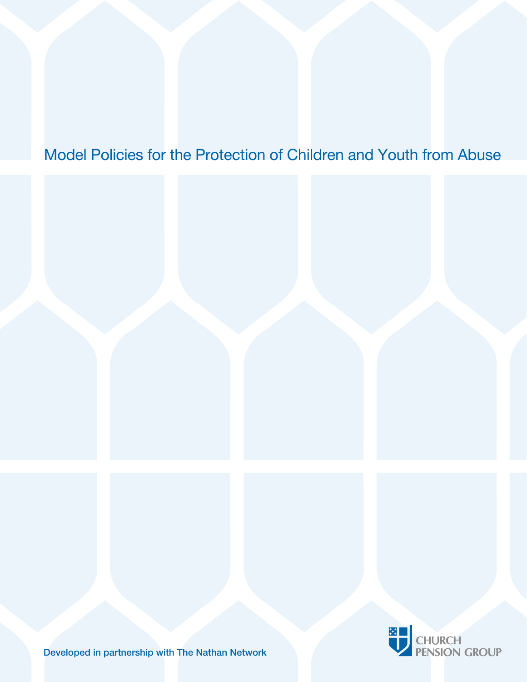### Model Policies for the Protection of Children and Youth from Abuse



Developed in partnership with The Nathan Network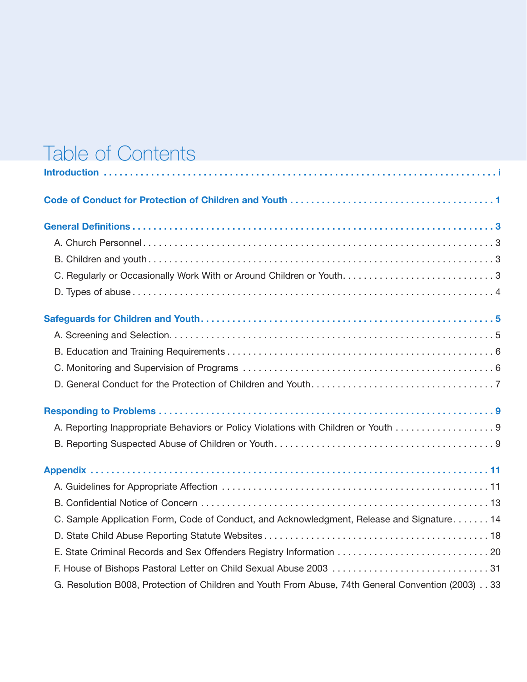# Table of Contents

| A. Reporting Inappropriate Behaviors or Policy Violations with Children or Youth 9                 |
|----------------------------------------------------------------------------------------------------|
|                                                                                                    |
|                                                                                                    |
|                                                                                                    |
|                                                                                                    |
| C. Sample Application Form, Code of Conduct, and Acknowledgment, Release and Signature 14          |
|                                                                                                    |
|                                                                                                    |
|                                                                                                    |
| G. Resolution B008, Protection of Children and Youth From Abuse, 74th General Convention (2003) 33 |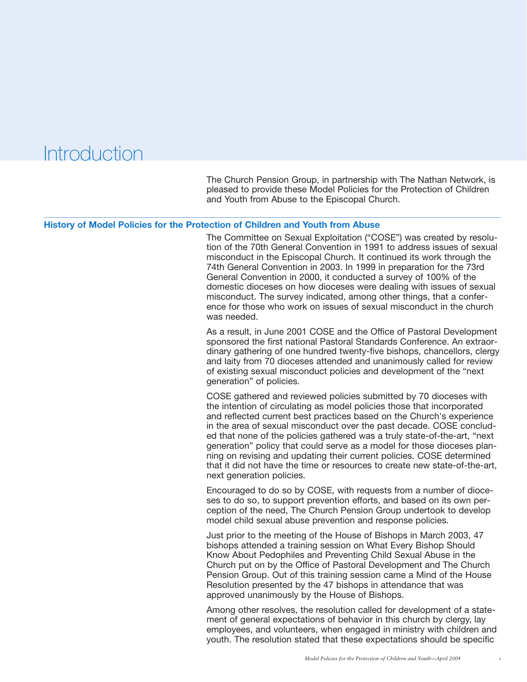### **Introduction**

The Church Pension Group, in partnership with The Nathan Network, is pleased to provide these Model Policies for the Protection of Children and Youth from Abuse to the Episcopal Church.

#### **History of Model Policies for the Protection of Children and Youth from Abuse**

The Committee on Sexual Exploitation ("COSE") was created by resolution of the 70th General Convention in 1991 to address issues of sexual misconduct in the Episcopal Church. It continued its work through the 74th General Convention in 2003. In 1999 in preparation for the 73rd General Convention in 2000, it conducted a survey of 100% of the domestic dioceses on how dioceses were dealing with issues of sexual misconduct. The survey indicated, among other things, that a conference for those who work on issues of sexual misconduct in the church was needed.

As a result, in June 2001 COSE and the Office of Pastoral Development sponsored the first national Pastoral Standards Conference. An extraordinary gathering of one hundred twenty-five bishops, chancellors, clergy and laity from 70 dioceses attended and unanimously called for review of existing sexual misconduct policies and development of the "next generation" of policies.

COSE gathered and reviewed policies submitted by 70 dioceses with the intention of circulating as model policies those that incorporated and reflected current best practices based on the Church's experience in the area of sexual misconduct over the past decade. COSE concluded that none of the policies gathered was a truly state-of-the-art, "next generation" policy that could serve as a model for those dioceses planning on revising and updating their current policies. COSE determined that it did not have the time or resources to create new state-of-the-art, next generation policies.

Encouraged to do so by COSE, with requests from a number of dioceses to do so, to support prevention efforts, and based on its own perception of the need, The Church Pension Group undertook to develop model child sexual abuse prevention and response policies.

Just prior to the meeting of the House of Bishops in March 2003, 47 bishops attended a training session on What Every Bishop Should Know About Pedophiles and Preventing Child Sexual Abuse in the Church put on by the Office of Pastoral Development and The Church Pension Group. Out of this training session came a Mind of the House Resolution presented by the 47 bishops in attendance that was approved unanimously by the House of Bishops.

Among other resolves, the resolution called for development of a statement of general expectations of behavior in this church by clergy, lay employees, and volunteers, when engaged in ministry with children and youth. The resolution stated that these expectations should be specific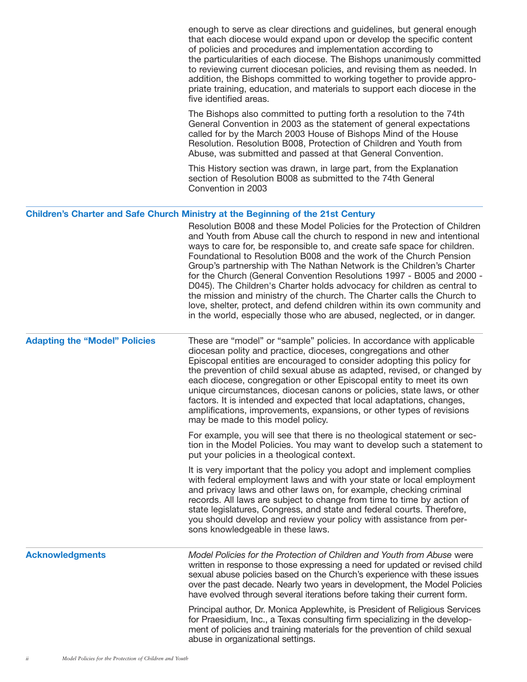|                                      | enough to serve as clear directions and guidelines, but general enough<br>that each diocese would expand upon or develop the specific content<br>of policies and procedures and implementation according to<br>the particularities of each diocese. The Bishops unanimously committed<br>to reviewing current diocesan policies, and revising them as needed. In<br>addition, the Bishops committed to working together to provide appro-<br>priate training, education, and materials to support each diocese in the<br>five identified areas.                                                                                                                                                                                                                                                                                                               |
|--------------------------------------|---------------------------------------------------------------------------------------------------------------------------------------------------------------------------------------------------------------------------------------------------------------------------------------------------------------------------------------------------------------------------------------------------------------------------------------------------------------------------------------------------------------------------------------------------------------------------------------------------------------------------------------------------------------------------------------------------------------------------------------------------------------------------------------------------------------------------------------------------------------|
|                                      | The Bishops also committed to putting forth a resolution to the 74th<br>General Convention in 2003 as the statement of general expectations<br>called for by the March 2003 House of Bishops Mind of the House<br>Resolution. Resolution B008, Protection of Children and Youth from<br>Abuse, was submitted and passed at that General Convention.                                                                                                                                                                                                                                                                                                                                                                                                                                                                                                           |
|                                      | This History section was drawn, in large part, from the Explanation<br>section of Resolution B008 as submitted to the 74th General<br>Convention in 2003                                                                                                                                                                                                                                                                                                                                                                                                                                                                                                                                                                                                                                                                                                      |
|                                      | <b>Children's Charter and Safe Church Ministry at the Beginning of the 21st Century</b><br>Resolution B008 and these Model Policies for the Protection of Children<br>and Youth from Abuse call the church to respond in new and intentional<br>ways to care for, be responsible to, and create safe space for children.<br>Foundational to Resolution B008 and the work of the Church Pension<br>Group's partnership with The Nathan Network is the Children's Charter<br>for the Church (General Convention Resolutions 1997 - B005 and 2000 -<br>D045). The Children's Charter holds advocacy for children as central to<br>the mission and ministry of the church. The Charter calls the Church to<br>love, shelter, protect, and defend children within its own community and<br>in the world, especially those who are abused, neglected, or in danger. |
| <b>Adapting the "Model" Policies</b> | These are "model" or "sample" policies. In accordance with applicable<br>diocesan polity and practice, dioceses, congregations and other<br>Episcopal entities are encouraged to consider adopting this policy for<br>the prevention of child sexual abuse as adapted, revised, or changed by<br>each diocese, congregation or other Episcopal entity to meet its own<br>unique circumstances, diocesan canons or policies, state laws, or other<br>factors. It is intended and expected that local adaptations, changes,<br>amplifications, improvements, expansions, or other types of revisions<br>may be made to this model policy.                                                                                                                                                                                                                       |
|                                      | For example, you will see that there is no theological statement or sec-<br>tion in the Model Policies. You may want to develop such a statement to<br>put your policies in a theological context.                                                                                                                                                                                                                                                                                                                                                                                                                                                                                                                                                                                                                                                            |
|                                      | It is very important that the policy you adopt and implement complies<br>with federal employment laws and with your state or local employment<br>and privacy laws and other laws on, for example, checking criminal<br>records. All laws are subject to change from time to time by action of<br>state legislatures, Congress, and state and federal courts. Therefore,<br>you should develop and review your policy with assistance from per-<br>sons knowledgeable in these laws.                                                                                                                                                                                                                                                                                                                                                                           |
| <b>Acknowledgments</b>               | Model Policies for the Protection of Children and Youth from Abuse were<br>written in response to those expressing a need for updated or revised child<br>sexual abuse policies based on the Church's experience with these issues<br>over the past decade. Nearly two years in development, the Model Policies<br>have evolved through several iterations before taking their current form.                                                                                                                                                                                                                                                                                                                                                                                                                                                                  |
|                                      | Principal author, Dr. Monica Applewhite, is President of Religious Services<br>for Praesidium, Inc., a Texas consulting firm specializing in the develop-<br>ment of policies and training materials for the prevention of child sexual<br>abuse in organizational settings.                                                                                                                                                                                                                                                                                                                                                                                                                                                                                                                                                                                  |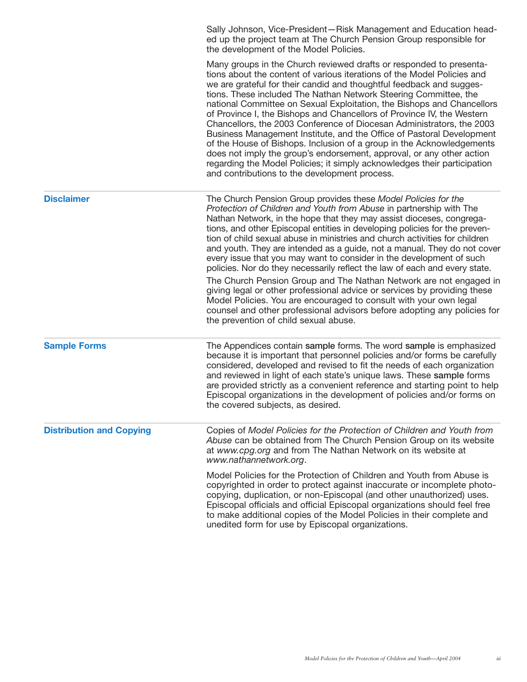|                                 | Sally Johnson, Vice-President-Risk Management and Education head-<br>ed up the project team at The Church Pension Group responsible for<br>the development of the Model Policies.                                                                                                                                                                                                                                                                                                                                                                                                                                                                                                                                                                                                                                                                                                                                                                        |
|---------------------------------|----------------------------------------------------------------------------------------------------------------------------------------------------------------------------------------------------------------------------------------------------------------------------------------------------------------------------------------------------------------------------------------------------------------------------------------------------------------------------------------------------------------------------------------------------------------------------------------------------------------------------------------------------------------------------------------------------------------------------------------------------------------------------------------------------------------------------------------------------------------------------------------------------------------------------------------------------------|
|                                 | Many groups in the Church reviewed drafts or responded to presenta-<br>tions about the content of various iterations of the Model Policies and<br>we are grateful for their candid and thoughtful feedback and sugges-<br>tions. These included The Nathan Network Steering Committee, the<br>national Committee on Sexual Exploitation, the Bishops and Chancellors<br>of Province I, the Bishops and Chancellors of Province IV, the Western<br>Chancellors, the 2003 Conference of Diocesan Administrators, the 2003<br>Business Management Institute, and the Office of Pastoral Development<br>of the House of Bishops. Inclusion of a group in the Acknowledgements<br>does not imply the group's endorsement, approval, or any other action<br>regarding the Model Policies; it simply acknowledges their participation<br>and contributions to the development process.                                                                          |
| <b>Disclaimer</b>               | The Church Pension Group provides these Model Policies for the<br>Protection of Children and Youth from Abuse in partnership with The<br>Nathan Network, in the hope that they may assist dioceses, congrega-<br>tions, and other Episcopal entities in developing policies for the preven-<br>tion of child sexual abuse in ministries and church activities for children<br>and youth. They are intended as a guide, not a manual. They do not cover<br>every issue that you may want to consider in the development of such<br>policies. Nor do they necessarily reflect the law of each and every state.<br>The Church Pension Group and The Nathan Network are not engaged in<br>giving legal or other professional advice or services by providing these<br>Model Policies. You are encouraged to consult with your own legal<br>counsel and other professional advisors before adopting any policies for<br>the prevention of child sexual abuse. |
| <b>Sample Forms</b>             | The Appendices contain sample forms. The word sample is emphasized<br>because it is important that personnel policies and/or forms be carefully<br>considered, developed and revised to fit the needs of each organization<br>and reviewed in light of each state's unique laws. These sample forms<br>are provided strictly as a convenient reference and starting point to help<br>Episcopal organizations in the development of policies and/or forms on<br>the covered subjects, as desired.                                                                                                                                                                                                                                                                                                                                                                                                                                                         |
| <b>Distribution and Copying</b> | Copies of Model Policies for the Protection of Children and Youth from<br>Abuse can be obtained from The Church Pension Group on its website<br>at www.cpg.org and from The Nathan Network on its website at<br>www.nathannetwork.org.                                                                                                                                                                                                                                                                                                                                                                                                                                                                                                                                                                                                                                                                                                                   |
|                                 | Model Policies for the Protection of Children and Youth from Abuse is<br>copyrighted in order to protect against inaccurate or incomplete photo-<br>copying, duplication, or non-Episcopal (and other unauthorized) uses.<br>Episcopal officials and official Episcopal organizations should feel free<br>to make additional copies of the Model Policies in their complete and<br>unedited form for use by Episcopal organizations.                                                                                                                                                                                                                                                                                                                                                                                                                                                                                                                     |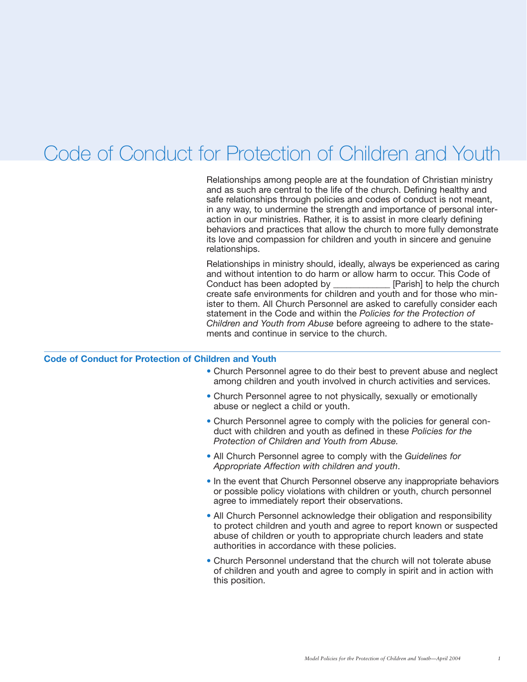### Code of Conduct for Protection of Children and Youth

Relationships among people are at the foundation of Christian ministry and as such are central to the life of the church. Defining healthy and safe relationships through policies and codes of conduct is not meant, in any way, to undermine the strength and importance of personal interaction in our ministries. Rather, it is to assist in more clearly defining behaviors and practices that allow the church to more fully demonstrate its love and compassion for children and youth in sincere and genuine relationships.

Relationships in ministry should, ideally, always be experienced as caring and without intention to do harm or allow harm to occur. This Code of Conduct has been adopted by \_\_\_\_\_\_\_\_\_\_\_\_\_ [Parish] to help the church create safe environments for children and youth and for those who minister to them. All Church Personnel are asked to carefully consider each statement in the Code and within the *Policies for the Protection of Children and Youth from Abuse* before agreeing to adhere to the statements and continue in service to the church.

#### **Code of Conduct for Protection of Children and Youth**

- Church Personnel agree to do their best to prevent abuse and neglect among children and youth involved in church activities and services.
- Church Personnel agree to not physically, sexually or emotionally abuse or neglect a child or youth.
- Church Personnel agree to comply with the policies for general conduct with children and youth as defined in these *Policies for the Protection of Children and Youth from Abuse.*
- All Church Personnel agree to comply with the *Guidelines for Appropriate Affection with children and youth*.
- In the event that Church Personnel observe any inappropriate behaviors or possible policy violations with children or youth, church personnel agree to immediately report their observations.
- All Church Personnel acknowledge their obligation and responsibility to protect children and youth and agree to report known or suspected abuse of children or youth to appropriate church leaders and state authorities in accordance with these policies.
- Church Personnel understand that the church will not tolerate abuse of children and youth and agree to comply in spirit and in action with this position.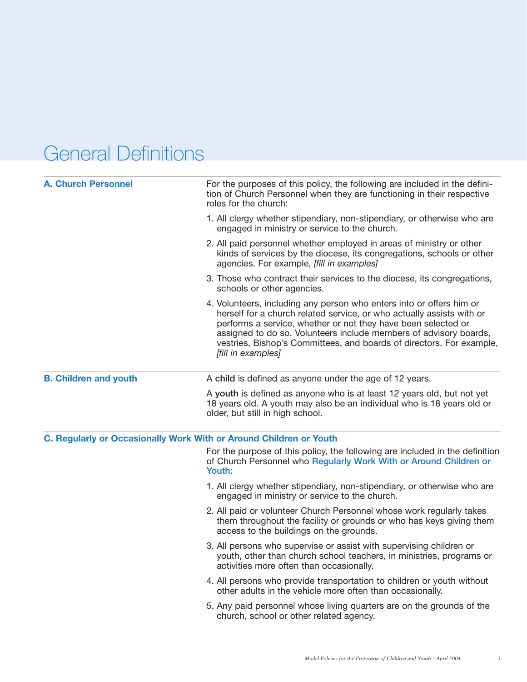## General Definitions

| <b>A. Church Personnel</b>   | For the purposes of this policy, the following are included in the defini-<br>tion of Church Personnel when they are functioning in their respective<br>roles for the church:                                                                                                                                                                                                     |  |  |  |  |
|------------------------------|-----------------------------------------------------------------------------------------------------------------------------------------------------------------------------------------------------------------------------------------------------------------------------------------------------------------------------------------------------------------------------------|--|--|--|--|
|                              | 1. All clergy whether stipendiary, non-stipendiary, or otherwise who are<br>engaged in ministry or service to the church.                                                                                                                                                                                                                                                         |  |  |  |  |
|                              | 2. All paid personnel whether employed in areas of ministry or other<br>kinds of services by the diocese, its congregations, schools or other<br>agencies. For example, [fill in examples]                                                                                                                                                                                        |  |  |  |  |
|                              | 3. Those who contract their services to the diocese, its congregations,<br>schools or other agencies.                                                                                                                                                                                                                                                                             |  |  |  |  |
|                              | 4. Volunteers, including any person who enters into or offers him or<br>herself for a church related service, or who actually assists with or<br>performs a service, whether or not they have been selected or<br>assigned to do so. Volunteers include members of advisory boards,<br>vestries, Bishop's Committees, and boards of directors. For example,<br>[fill in examples] |  |  |  |  |
| <b>B. Children and youth</b> | A child is defined as anyone under the age of 12 years.                                                                                                                                                                                                                                                                                                                           |  |  |  |  |
|                              | A youth is defined as anyone who is at least 12 years old, but not yet<br>18 years old. A youth may also be an individual who is 18 years old or<br>older, but still in high school.                                                                                                                                                                                              |  |  |  |  |
|                              | C. Regularly or Occasionally Work With or Around Children or Youth                                                                                                                                                                                                                                                                                                                |  |  |  |  |
|                              | For the purpose of this policy, the following are included in the definition<br>of Church Personnel who Regularly Work With or Around Children or<br>Youth:                                                                                                                                                                                                                       |  |  |  |  |
|                              | 1. All clergy whether stipendiary, non-stipendiary, or otherwise who are<br>engaged in ministry or service to the church.                                                                                                                                                                                                                                                         |  |  |  |  |
|                              | 2. All paid or volunteer Church Personnel whose work regularly takes<br>them throughout the facility or grounds or who has keys giving them<br>access to the buildings on the grounds.                                                                                                                                                                                            |  |  |  |  |
|                              | 3. All persons who supervise or assist with supervising children or<br>youth, other than church school teachers, in ministries, programs or<br>activities more often than occasionally.                                                                                                                                                                                           |  |  |  |  |
|                              | 4. All persons who provide transportation to children or youth without<br>other adults in the vehicle more often than occasionally.                                                                                                                                                                                                                                               |  |  |  |  |
|                              | 5. Any paid personnel whose living quarters are on the grounds of the<br>church, school or other related agency.                                                                                                                                                                                                                                                                  |  |  |  |  |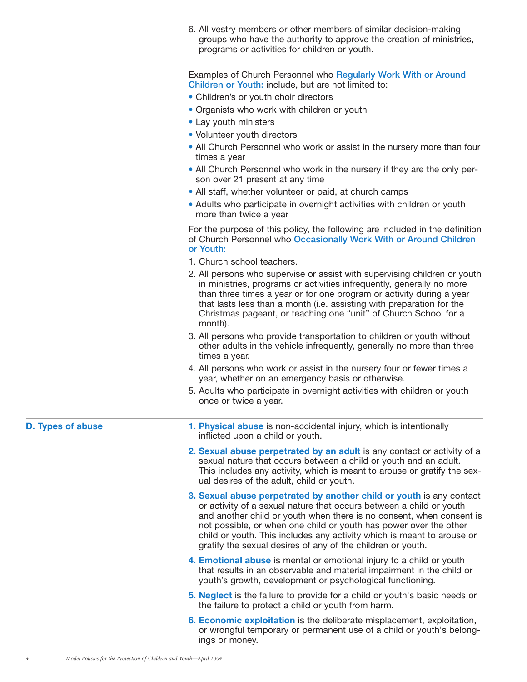6. All vestry members or other members of similar decision-making groups who have the authority to approve the creation of ministries, programs or activities for children or youth.

Examples of Church Personnel who **Regularly Work With or Around Children or Youth:** include, but are not limited to:

- Children's or youth choir directors
- Organists who work with children or youth
- Lay youth ministers
- Volunteer youth directors
- All Church Personnel who work or assist in the nursery more than four times a year
- All Church Personnel who work in the nursery if they are the only person over 21 present at any time
- All staff, whether volunteer or paid, at church camps
- Adults who participate in overnight activities with children or youth more than twice a year

For the purpose of this policy, the following are included in the definition of Church Personnel who **Occasionally Work With or Around Children or Youth:**

- 1. Church school teachers.
- 2. All persons who supervise or assist with supervising children or youth in ministries, programs or activities infrequently, generally no more than three times a year or for one program or activity during a year that lasts less than a month (i.e. assisting with preparation for the Christmas pageant, or teaching one "unit" of Church School for a month).
- 3. All persons who provide transportation to children or youth without other adults in the vehicle infrequently, generally no more than three times a year.
- 4. All persons who work or assist in the nursery four or fewer times a year, whether on an emergency basis or otherwise.
- 5. Adults who participate in overnight activities with children or youth once or twice a year.

- **D. Types of abuse 1. Physical abuse** is non-accidental injury, which is intentionally inflicted upon a child or youth.
	- **2. Sexual abuse perpetrated by an adult** is any contact or activity of a sexual nature that occurs between a child or youth and an adult. This includes any activity, which is meant to arouse or gratify the sexual desires of the adult, child or youth.
	- **3. Sexual abuse perpetrated by another child or youth** is any contact or activity of a sexual nature that occurs between a child or youth and another child or youth when there is no consent, when consent is not possible, or when one child or youth has power over the other child or youth. This includes any activity which is meant to arouse or gratify the sexual desires of any of the children or youth.
	- **4. Emotional abuse** is mental or emotional injury to a child or youth that results in an observable and material impairment in the child or youth's growth, development or psychological functioning.
	- **5. Neglect** is the failure to provide for a child or youth's basic needs or the failure to protect a child or youth from harm.
	- **6. Economic exploitation** is the deliberate misplacement, exploitation, or wrongful temporary or permanent use of a child or youth's belongings or money.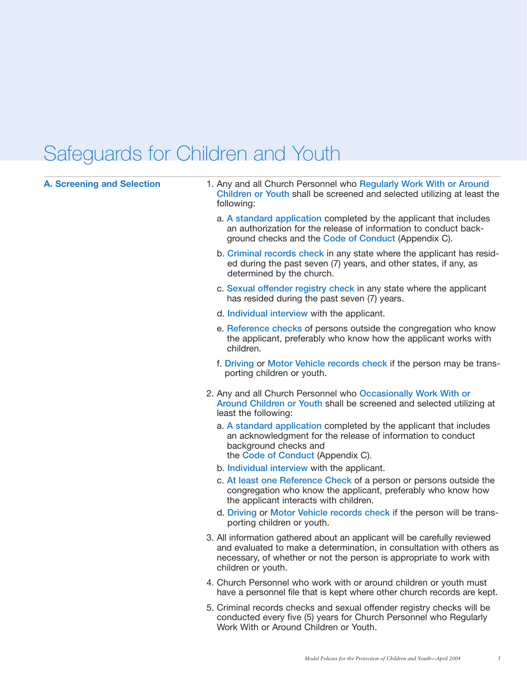# Safeguards for Children and Youth

| <b>A. Screening and Selection</b> | 1. Any and all Church Personnel who Regularly Work With or Around<br>Children or Youth shall be screened and selected utilizing at least the<br>following:                                                                                      |
|-----------------------------------|-------------------------------------------------------------------------------------------------------------------------------------------------------------------------------------------------------------------------------------------------|
|                                   | a. A standard application completed by the applicant that includes<br>an authorization for the release of information to conduct back-<br>ground checks and the Code of Conduct (Appendix C).                                                   |
|                                   | b. Criminal records check in any state where the applicant has resid-<br>ed during the past seven (7) years, and other states, if any, as<br>determined by the church.                                                                          |
|                                   | c. Sexual offender registry check in any state where the applicant<br>has resided during the past seven (7) years.                                                                                                                              |
|                                   | d. Individual interview with the applicant.                                                                                                                                                                                                     |
|                                   | e. Reference checks of persons outside the congregation who know<br>the applicant, preferably who know how the applicant works with<br>children.                                                                                                |
|                                   | f. Driving or Motor Vehicle records check if the person may be trans-<br>porting children or youth.                                                                                                                                             |
|                                   | 2. Any and all Church Personnel who Occasionally Work With or<br>Around Children or Youth shall be screened and selected utilizing at<br>least the following:                                                                                   |
|                                   | a. A standard application completed by the applicant that includes<br>an acknowledgment for the release of information to conduct<br>background checks and<br>the Code of Conduct (Appendix C).                                                 |
|                                   | b. Individual interview with the applicant.                                                                                                                                                                                                     |
|                                   | c. At least one Reference Check of a person or persons outside the<br>congregation who know the applicant, preferably who know how<br>the applicant interacts with children.                                                                    |
|                                   | d. Driving or Motor Vehicle records check if the person will be trans-<br>porting children or youth.                                                                                                                                            |
|                                   | 3. All information gathered about an applicant will be carefully reviewed<br>and evaluated to make a determination, in consultation with others as<br>necessary, of whether or not the person is appropriate to work with<br>children or youth. |
|                                   | 4. Church Personnel who work with or around children or youth must<br>have a personnel file that is kept where other church records are kept.                                                                                                   |
|                                   | 5. Criminal records checks and sexual offender registry checks will be<br>conducted every five (5) years for Church Personnel who Regularly<br>Work With or Around Children or Youth.                                                           |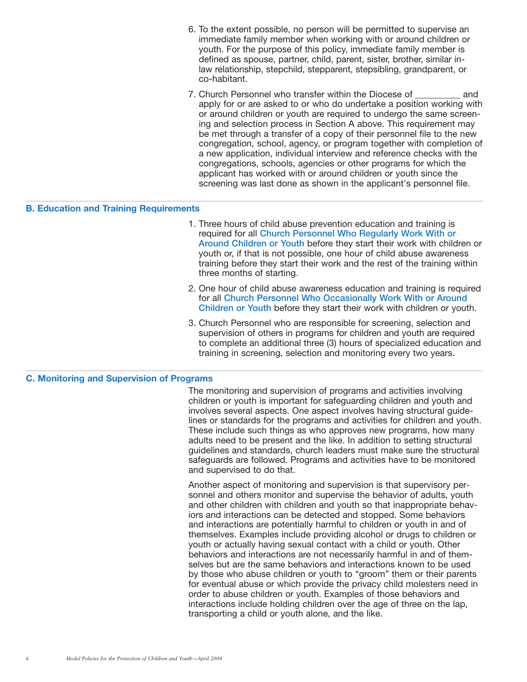- 6. To the extent possible, no person will be permitted to supervise an immediate family member when working with or around children or youth. For the purpose of this policy, immediate family member is defined as spouse, partner, child, parent, sister, brother, similar inlaw relationship, stepchild, stepparent, stepsibling, grandparent, or co-habitant.
- 7. Church Personnel who transfer within the Diocese of \_\_\_\_\_\_\_\_\_\_ and apply for or are asked to or who do undertake a position working with or around children or youth are required to undergo the same screening and selection process in Section A above. This requirement may be met through a transfer of a copy of their personnel file to the new congregation, school, agency, or program together with completion of a new application, individual interview and reference checks with the congregations, schools, agencies or other programs for which the applicant has worked with or around children or youth since the screening was last done as shown in the applicant's personnel file.

#### **B. Education and Training Requirements**

- 1. Three hours of child abuse prevention education and training is required for all **Church Personnel Who Regularly Work With or Around Children or Youth** before they start their work with children or youth or, if that is not possible, one hour of child abuse awareness training before they start their work and the rest of the training within three months of starting.
- 2. One hour of child abuse awareness education and training is required for all **Church Personnel Who Occasionally Work With or Around Children or Youth** before they start their work with children or youth.
- 3. Church Personnel who are responsible for screening, selection and supervision of others in programs for children and youth are required to complete an additional three (3) hours of specialized education and training in screening, selection and monitoring every two years.

#### **C. Monitoring and Supervision of Programs**

The monitoring and supervision of programs and activities involving children or youth is important for safeguarding children and youth and involves several aspects. One aspect involves having structural guidelines or standards for the programs and activities for children and youth. These include such things as who approves new programs, how many adults need to be present and the like. In addition to setting structural guidelines and standards, church leaders must make sure the structural safeguards are followed. Programs and activities have to be monitored and supervised to do that.

Another aspect of monitoring and supervision is that supervisory personnel and others monitor and supervise the behavior of adults, youth and other children with children and youth so that inappropriate behaviors and interactions can be detected and stopped. Some behaviors and interactions are potentially harmful to children or youth in and of themselves. Examples include providing alcohol or drugs to children or youth or actually having sexual contact with a child or youth. Other behaviors and interactions are not necessarily harmful in and of themselves but are the same behaviors and interactions known to be used by those who abuse children or youth to "groom" them or their parents for eventual abuse or which provide the privacy child molesters need in order to abuse children or youth. Examples of those behaviors and interactions include holding children over the age of three on the lap, transporting a child or youth alone, and the like.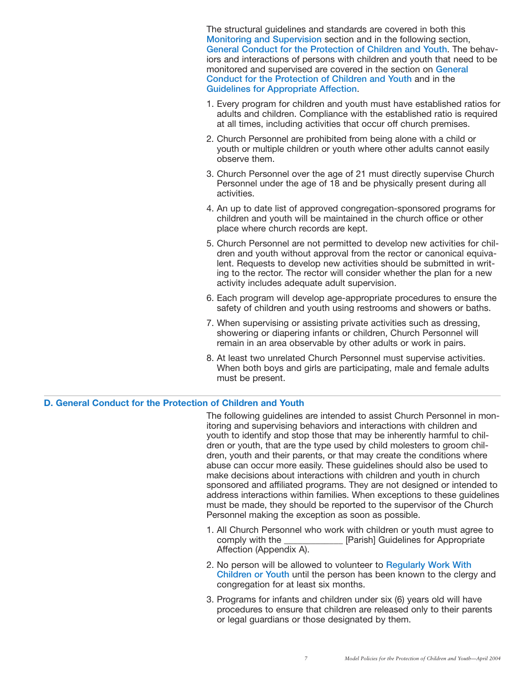The structural guidelines and standards are covered in both this **Monitoring and Supervision** section and in the following section, **General Conduct for the Protection of Children and Youth**. The behaviors and interactions of persons with children and youth that need to be monitored and supervised are covered in the section on **General Conduct for the Protection of Children and Youth** and in the **Guidelines for Appropriate Affection**.

- 1. Every program for children and youth must have established ratios for adults and children. Compliance with the established ratio is required at all times, including activities that occur off church premises.
- 2. Church Personnel are prohibited from being alone with a child or youth or multiple children or youth where other adults cannot easily observe them.
- 3. Church Personnel over the age of 21 must directly supervise Church Personnel under the age of 18 and be physically present during all activities.
- 4. An up to date list of approved congregation-sponsored programs for children and youth will be maintained in the church office or other place where church records are kept.
- 5. Church Personnel are not permitted to develop new activities for children and youth without approval from the rector or canonical equivalent. Requests to develop new activities should be submitted in writing to the rector. The rector will consider whether the plan for a new activity includes adequate adult supervision.
- 6. Each program will develop age-appropriate procedures to ensure the safety of children and youth using restrooms and showers or baths.
- 7. When supervising or assisting private activities such as dressing, showering or diapering infants or children, Church Personnel will remain in an area observable by other adults or work in pairs.
- 8. At least two unrelated Church Personnel must supervise activities. When both boys and girls are participating, male and female adults must be present.

### **D. General Conduct for the Protection of Children and Youth**

The following guidelines are intended to assist Church Personnel in monitoring and supervising behaviors and interactions with children and youth to identify and stop those that may be inherently harmful to children or youth, that are the type used by child molesters to groom children, youth and their parents, or that may create the conditions where abuse can occur more easily. These guidelines should also be used to make decisions about interactions with children and youth in church sponsored and affiliated programs. They are not designed or intended to address interactions within families. When exceptions to these guidelines must be made, they should be reported to the supervisor of the Church Personnel making the exception as soon as possible.

- 1. All Church Personnel who work with children or youth must agree to comply with the \_\_\_\_\_\_\_\_\_\_\_\_\_ [Parish] Guidelines for Appropriate Affection (Appendix A).
- 2. No person will be allowed to volunteer to **Regularly Work With Children or Youth** until the person has been known to the clergy and congregation for at least six months.
- 3. Programs for infants and children under six (6) years old will have procedures to ensure that children are released only to their parents or legal guardians or those designated by them.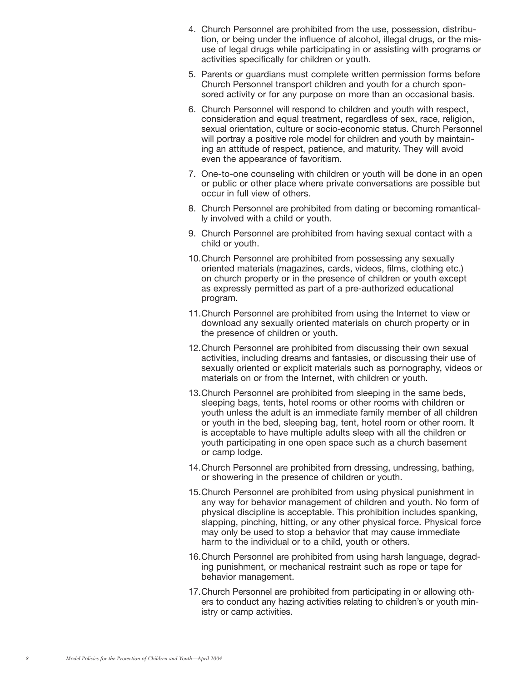- 4. Church Personnel are prohibited from the use, possession, distribution, or being under the influence of alcohol, illegal drugs, or the misuse of legal drugs while participating in or assisting with programs or activities specifically for children or youth.
- 5. Parents or guardians must complete written permission forms before Church Personnel transport children and youth for a church sponsored activity or for any purpose on more than an occasional basis.
- 6. Church Personnel will respond to children and youth with respect, consideration and equal treatment, regardless of sex, race, religion, sexual orientation, culture or socio-economic status. Church Personnel will portray a positive role model for children and youth by maintaining an attitude of respect, patience, and maturity. They will avoid even the appearance of favoritism.
- 7. One-to-one counseling with children or youth will be done in an open or public or other place where private conversations are possible but occur in full view of others.
- 8. Church Personnel are prohibited from dating or becoming romantically involved with a child or youth.
- 9. Church Personnel are prohibited from having sexual contact with a child or youth.
- 10.Church Personnel are prohibited from possessing any sexually oriented materials (magazines, cards, videos, films, clothing etc.) on church property or in the presence of children or youth except as expressly permitted as part of a pre-authorized educational program.
- 11.Church Personnel are prohibited from using the Internet to view or download any sexually oriented materials on church property or in the presence of children or youth.
- 12.Church Personnel are prohibited from discussing their own sexual activities, including dreams and fantasies, or discussing their use of sexually oriented or explicit materials such as pornography, videos or materials on or from the Internet, with children or youth.
- 13.Church Personnel are prohibited from sleeping in the same beds, sleeping bags, tents, hotel rooms or other rooms with children or youth unless the adult is an immediate family member of all children or youth in the bed, sleeping bag, tent, hotel room or other room. It is acceptable to have multiple adults sleep with all the children or youth participating in one open space such as a church basement or camp lodge.
- 14.Church Personnel are prohibited from dressing, undressing, bathing, or showering in the presence of children or youth.
- 15.Church Personnel are prohibited from using physical punishment in any way for behavior management of children and youth. No form of physical discipline is acceptable. This prohibition includes spanking, slapping, pinching, hitting, or any other physical force. Physical force may only be used to stop a behavior that may cause immediate harm to the individual or to a child, youth or others.
- 16.Church Personnel are prohibited from using harsh language, degrading punishment, or mechanical restraint such as rope or tape for behavior management.
- 17.Church Personnel are prohibited from participating in or allowing others to conduct any hazing activities relating to children's or youth ministry or camp activities.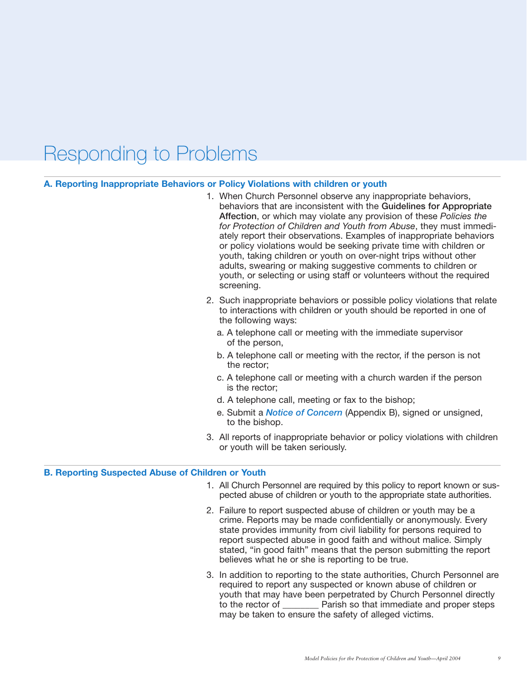### Responding to Problems

#### **A. Reporting Inappropriate Behaviors or Policy Violations with children or youth**

- 1. When Church Personnel observe any inappropriate behaviors, behaviors that are inconsistent with the **Guidelines for Appropriate Affection**, or which may violate any provision of these *Policies the for Protection of Children and Youth from Abuse*, they must immediately report their observations. Examples of inappropriate behaviors or policy violations would be seeking private time with children or youth, taking children or youth on over-night trips without other adults, swearing or making suggestive comments to children or youth, or selecting or using staff or volunteers without the required screening.
- 2. Such inappropriate behaviors or possible policy violations that relate to interactions with children or youth should be reported in one of the following ways:
	- a. A telephone call or meeting with the immediate supervisor of the person,
	- b. A telephone call or meeting with the rector, if the person is not the rector;
	- c. A telephone call or meeting with a church warden if the person is the rector;
	- d. A telephone call, meeting or fax to the bishop;
	- e. Submit a *Notice of Concern* (Appendix B), signed or unsigned, to the bishop.
- 3. All reports of inappropriate behavior or policy violations with children or youth will be taken seriously.

#### **B. Reporting Suspected Abuse of Children or Youth**

- 1. All Church Personnel are required by this policy to report known or suspected abuse of children or youth to the appropriate state authorities.
- 2. Failure to report suspected abuse of children or youth may be a crime. Reports may be made confidentially or anonymously. Every state provides immunity from civil liability for persons required to report suspected abuse in good faith and without malice. Simply stated, "in good faith" means that the person submitting the report believes what he or she is reporting to be true.
- 3. In addition to reporting to the state authorities, Church Personnel are required to report any suspected or known abuse of children or youth that may have been perpetrated by Church Personnel directly to the rector of **Example 1** Parish so that immediate and proper steps may be taken to ensure the safety of alleged victims.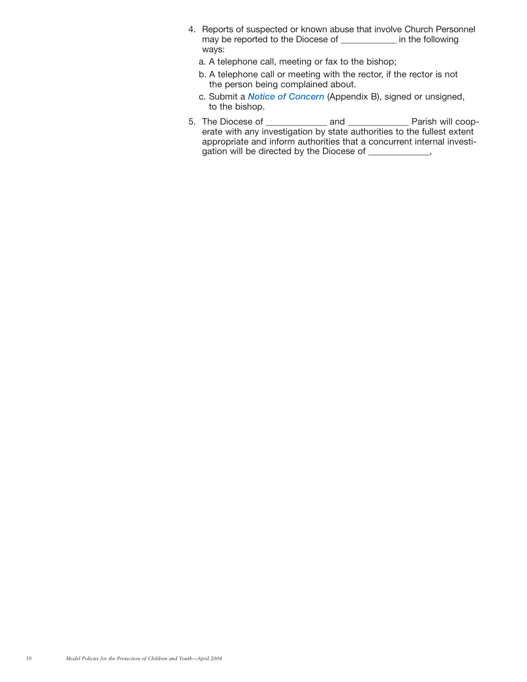- 4. Reports of suspected or known abuse that involve Church Personnel may be reported to the Diocese of \_\_\_\_\_\_\_\_\_\_\_\_\_ in the following ways:
	- a. A telephone call, meeting or fax to the bishop;
	- b. A telephone call or meeting with the rector, if the rector is not the person being complained about.
	- c. Submit a *Notice of Concern* (Appendix B), signed or unsigned, to the bishop.
- 5. The Diocese of \_\_\_\_\_\_\_\_\_\_\_\_\_\_\_\_ and \_\_\_\_\_\_\_\_\_\_\_\_\_\_\_ Parish will cooperate with any investigation by state authorities to the fullest extent appropriate and inform authorities that a concurrent internal investigation will be directed by the Diocese of \_\_\_\_\_\_\_\_\_\_\_,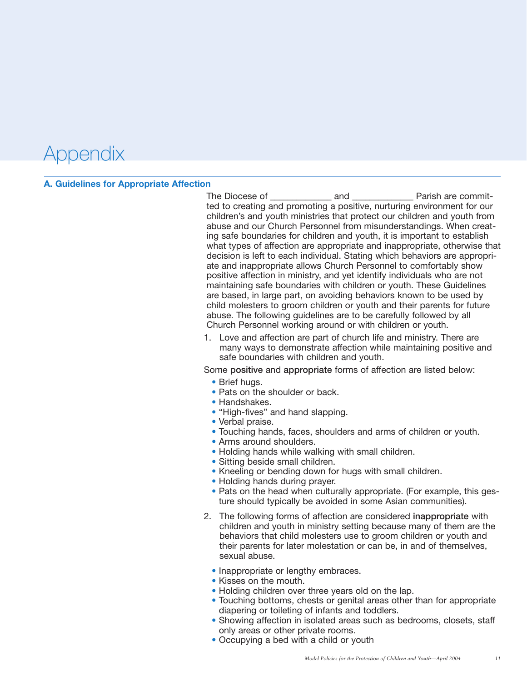### Appendix

#### **A. Guidelines for Appropriate Affection**

The Diocese of The Diocese of The Diocese of The Diocese of The And The Parish are committed to creating and promoting a positive, nurturing environment for our children's and youth ministries that protect our children and youth from abuse and our Church Personnel from misunderstandings. When creating safe boundaries for children and youth, it is important to establish what types of affection are appropriate and inappropriate, otherwise that decision is left to each individual. Stating which behaviors are appropriate and inappropriate allows Church Personnel to comfortably show positive affection in ministry, and yet identify individuals who are not maintaining safe boundaries with children or youth. These Guidelines are based, in large part, on avoiding behaviors known to be used by child molesters to groom children or youth and their parents for future abuse. The following guidelines are to be carefully followed by all Church Personnel working around or with children or youth.

1. Love and affection are part of church life and ministry. There are many ways to demonstrate affection while maintaining positive and safe boundaries with children and youth.

Some **positive** and **appropriate** forms of affection are listed below:

- Brief hugs.
- Pats on the shoulder or back.
- Handshakes.
- "High-fives" and hand slapping.
- Verbal praise.
- Touching hands, faces, shoulders and arms of children or youth.
- Arms around shoulders.
- Holding hands while walking with small children.
- Sitting beside small children.
- Kneeling or bending down for hugs with small children.
- Holding hands during prayer.
- Pats on the head when culturally appropriate. (For example, this gesture should typically be avoided in some Asian communities).
- 2. The following forms of affection are considered **inappropriate** with children and youth in ministry setting because many of them are the behaviors that child molesters use to groom children or youth and their parents for later molestation or can be, in and of themselves, sexual abuse.
	- Inappropriate or lengthy embraces.
	- Kisses on the mouth.
	- Holding children over three years old on the lap.
	- Touching bottoms, chests or genital areas other than for appropriate diapering or toileting of infants and toddlers.
	- Showing affection in isolated areas such as bedrooms, closets, staff only areas or other private rooms.
	- Occupying a bed with a child or youth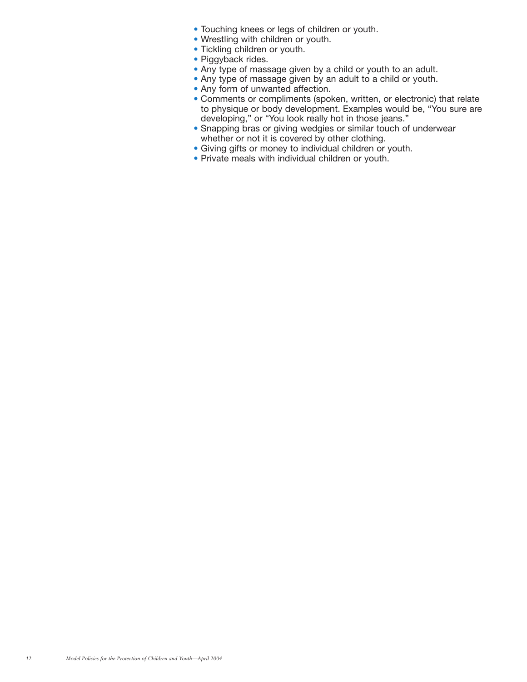- Touching knees or legs of children or youth.
- Wrestling with children or youth.
- Tickling children or youth.
- Piggyback rides.
- Any type of massage given by a child or youth to an adult.
- Any type of massage given by an adult to a child or youth.
- Any form of unwanted affection.
- Comments or compliments (spoken, written, or electronic) that relate to physique or body development. Examples would be, "You sure are developing," or "You look really hot in those jeans."
- Snapping bras or giving wedgies or similar touch of underwear whether or not it is covered by other clothing.
- Giving gifts or money to individual children or youth.
- Private meals with individual children or youth.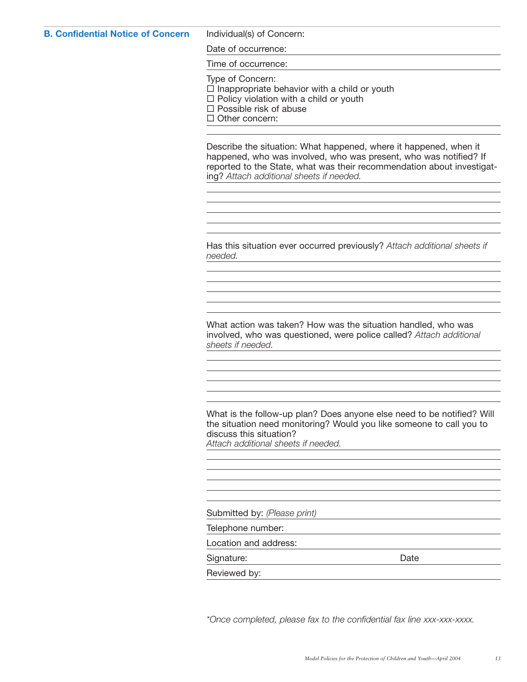#### **B. Confidential Notice of Concern** Individual(s) of Concern:

Date of occurrence:

Time of occurrence:

Type of Concern:

 $\square$  Inappropriate behavior with a child or youth

 $\Box$  Policy violation with a child or youth

 $\square$  Possible risk of abuse

 $\Box$  Other concern:

Describe the situation: What happened, where it happened, when it happened, who was involved, who was present, who was notified? If reported to the State, what was their recommendation about investigating? *Attach additional sheets if needed.*

Has this situation ever occurred previously? *Attach additional sheets if needed.*

What action was taken? How was the situation handled, who was involved, who was questioned, were police called? *Attach additional sheets if needed.*

What is the follow-up plan? Does anyone else need to be notified? Will the situation need monitoring? Would you like someone to call you to discuss this situation? *Attach additional sheets if needed.*

Submitted by: *(Please print)*

Telephone number:

Location and address:

Signature: Date Date

Reviewed by:

*\*Once completed, please fax to the confidential fax line xxx-xxx-xxxx.*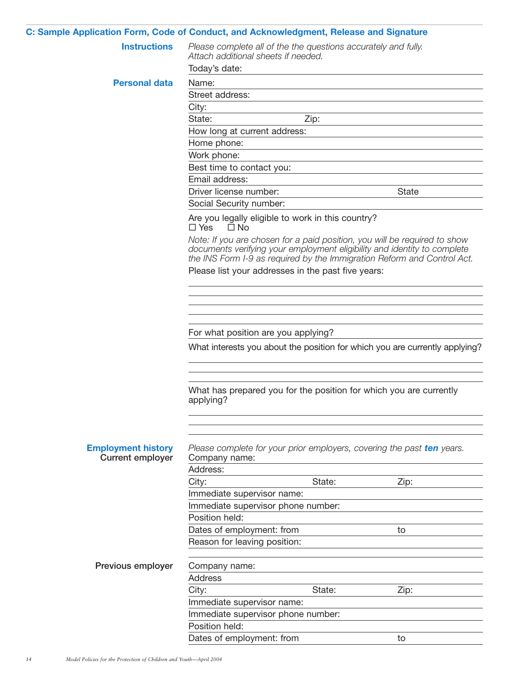| C: Sample Application Form, Code of Conduct, and Acknowledgment, Release and Signature |                                                                                                                        |        |                                                                                                                                                                                                                                  |
|----------------------------------------------------------------------------------------|------------------------------------------------------------------------------------------------------------------------|--------|----------------------------------------------------------------------------------------------------------------------------------------------------------------------------------------------------------------------------------|
| <b>Instructions</b>                                                                    | Please complete all of the the questions accurately and fully.<br>Attach additional sheets if needed.<br>Today's date: |        |                                                                                                                                                                                                                                  |
|                                                                                        |                                                                                                                        |        |                                                                                                                                                                                                                                  |
| <b>Personal data</b>                                                                   | Name:                                                                                                                  |        |                                                                                                                                                                                                                                  |
|                                                                                        | Street address:                                                                                                        |        |                                                                                                                                                                                                                                  |
|                                                                                        | City:                                                                                                                  |        |                                                                                                                                                                                                                                  |
|                                                                                        | State:                                                                                                                 | Zip:   |                                                                                                                                                                                                                                  |
|                                                                                        | How long at current address:                                                                                           |        |                                                                                                                                                                                                                                  |
|                                                                                        | Home phone:                                                                                                            |        |                                                                                                                                                                                                                                  |
|                                                                                        | Work phone:                                                                                                            |        |                                                                                                                                                                                                                                  |
|                                                                                        | Best time to contact you:                                                                                              |        |                                                                                                                                                                                                                                  |
|                                                                                        | Email address:                                                                                                         |        |                                                                                                                                                                                                                                  |
|                                                                                        | Driver license number:                                                                                                 |        | <b>State</b>                                                                                                                                                                                                                     |
|                                                                                        | Social Security number:                                                                                                |        |                                                                                                                                                                                                                                  |
|                                                                                        | Are you legally eligible to work in this country?<br>$\Box$ Yes<br>$\Box$ No                                           |        |                                                                                                                                                                                                                                  |
|                                                                                        |                                                                                                                        |        | Note: If you are chosen for a paid position, you will be required to show<br>documents verifying your employment eligibility and identity to complete<br>the INS Form I-9 as required by the Immigration Reform and Control Act. |
|                                                                                        | Please list your addresses in the past five years:                                                                     |        |                                                                                                                                                                                                                                  |
|                                                                                        |                                                                                                                        |        |                                                                                                                                                                                                                                  |
|                                                                                        |                                                                                                                        |        |                                                                                                                                                                                                                                  |
|                                                                                        |                                                                                                                        |        |                                                                                                                                                                                                                                  |
|                                                                                        | For what position are you applying?                                                                                    |        |                                                                                                                                                                                                                                  |
|                                                                                        |                                                                                                                        |        | What interests you about the position for which you are currently applying?                                                                                                                                                      |
|                                                                                        |                                                                                                                        |        |                                                                                                                                                                                                                                  |
|                                                                                        | What has prepared you for the position for which you are currently<br>applying?                                        |        |                                                                                                                                                                                                                                  |
|                                                                                        |                                                                                                                        |        |                                                                                                                                                                                                                                  |
| <b>Employment history</b><br><b>Current employer</b>                                   | Please complete for your prior employers, covering the past ten years.<br>Company name:                                |        |                                                                                                                                                                                                                                  |
|                                                                                        | Address:                                                                                                               |        |                                                                                                                                                                                                                                  |
|                                                                                        | City:                                                                                                                  | State: | Zip:                                                                                                                                                                                                                             |
|                                                                                        | Immediate supervisor name:                                                                                             |        |                                                                                                                                                                                                                                  |
|                                                                                        | Immediate supervisor phone number:                                                                                     |        |                                                                                                                                                                                                                                  |
|                                                                                        | Position held:                                                                                                         |        |                                                                                                                                                                                                                                  |
|                                                                                        | Dates of employment: from                                                                                              |        | to                                                                                                                                                                                                                               |
|                                                                                        | Reason for leaving position:                                                                                           |        |                                                                                                                                                                                                                                  |
| Previous employer                                                                      | Company name:                                                                                                          |        |                                                                                                                                                                                                                                  |
|                                                                                        | <b>Address</b>                                                                                                         |        |                                                                                                                                                                                                                                  |
|                                                                                        | City:                                                                                                                  | State: | Zip:                                                                                                                                                                                                                             |
|                                                                                        | Immediate supervisor name:                                                                                             |        |                                                                                                                                                                                                                                  |
|                                                                                        | Immediate supervisor phone number:                                                                                     |        |                                                                                                                                                                                                                                  |
|                                                                                        | Position held:                                                                                                         |        |                                                                                                                                                                                                                                  |
|                                                                                        | Dates of employment: from                                                                                              |        | to                                                                                                                                                                                                                               |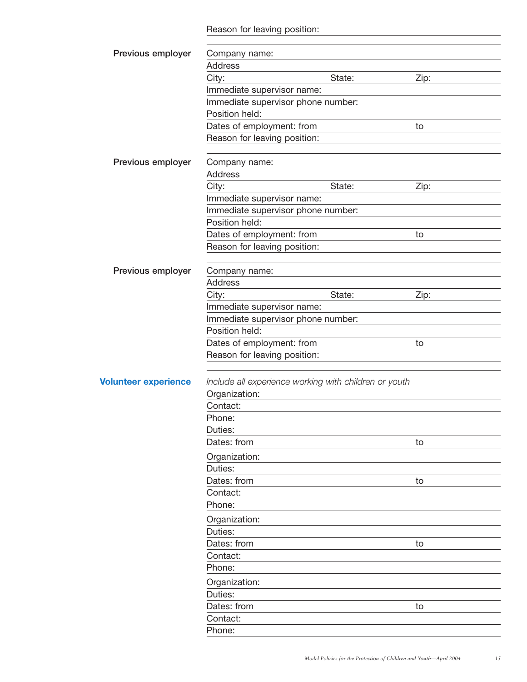Reason for leaving position:

| Previous employer           | Company name:                                         |        |      |
|-----------------------------|-------------------------------------------------------|--------|------|
|                             | <b>Address</b>                                        |        |      |
|                             | City:                                                 | State: | Zip: |
|                             | Immediate supervisor name:                            |        |      |
|                             | Immediate supervisor phone number:                    |        |      |
|                             | Position held:                                        |        |      |
|                             | Dates of employment: from                             |        | to   |
|                             | Reason for leaving position:                          |        |      |
| Previous employer           | Company name:                                         |        |      |
|                             | <b>Address</b>                                        |        |      |
|                             | City:                                                 | State: | Zip: |
|                             | Immediate supervisor name:                            |        |      |
|                             | Immediate supervisor phone number:                    |        |      |
|                             | Position held:                                        |        |      |
|                             | Dates of employment: from                             |        | to   |
|                             | Reason for leaving position:                          |        |      |
|                             |                                                       |        |      |
| Previous employer           | Company name:                                         |        |      |
|                             | <b>Address</b>                                        |        |      |
|                             | City:                                                 | State: | Zip: |
|                             | Immediate supervisor name:                            |        |      |
|                             | Immediate supervisor phone number:                    |        |      |
|                             | Position held:                                        |        |      |
|                             | Dates of employment: from                             |        | to   |
|                             | Reason for leaving position:                          |        |      |
|                             |                                                       |        |      |
|                             |                                                       |        |      |
| <b>Volunteer experience</b> | Include all experience working with children or youth |        |      |
|                             | Organization:                                         |        |      |
|                             | Contact:                                              |        |      |
|                             | Phone:                                                |        |      |
|                             | Duties:                                               |        |      |
|                             | Dates: from                                           |        | to   |
|                             | Organization:                                         |        |      |
|                             | Duties:                                               |        |      |
|                             | Dates: from                                           |        | to   |
|                             | Contact:                                              |        |      |
|                             | Phone:                                                |        |      |
|                             | Organization:                                         |        |      |
|                             | Duties:                                               |        |      |
|                             | Dates: from                                           |        | to   |
|                             | Contact:                                              |        |      |
|                             | Phone:                                                |        |      |
|                             | Organization:                                         |        |      |
|                             | Duties:                                               |        |      |
|                             | Dates: from                                           |        | to   |
|                             | Contact:                                              |        |      |
|                             | Phone:                                                |        |      |
|                             |                                                       |        |      |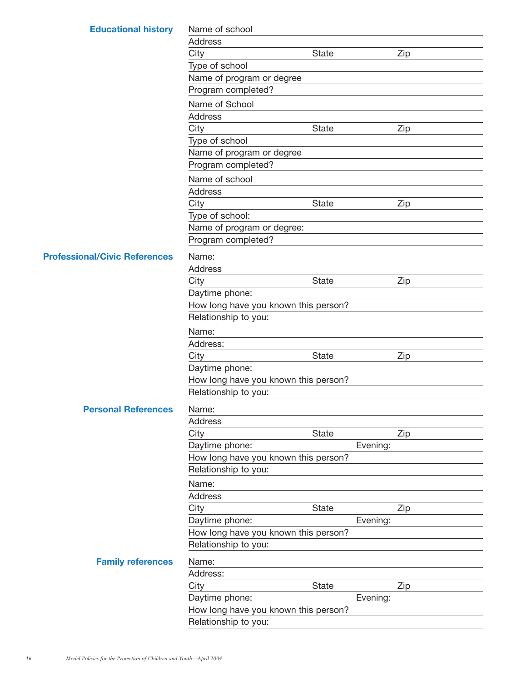| <b>Educational history</b>           | Name of school                                               |              |          |     |
|--------------------------------------|--------------------------------------------------------------|--------------|----------|-----|
|                                      | <b>Address</b>                                               |              |          |     |
|                                      | City                                                         | <b>State</b> |          | Zip |
|                                      | Type of school                                               |              |          |     |
|                                      | Name of program or degree                                    |              |          |     |
|                                      | Program completed?                                           |              |          |     |
|                                      | Name of School                                               |              |          |     |
|                                      | <b>Address</b>                                               |              |          |     |
|                                      | City                                                         | State        |          | Zip |
|                                      | Type of school                                               |              |          |     |
|                                      | Name of program or degree                                    |              |          |     |
|                                      | Program completed?                                           |              |          |     |
|                                      | Name of school                                               |              |          |     |
|                                      | <b>Address</b>                                               |              |          |     |
|                                      | City                                                         | State        |          | Zip |
|                                      | Type of school:                                              |              |          |     |
|                                      | Name of program or degree:                                   |              |          |     |
|                                      | Program completed?                                           |              |          |     |
|                                      |                                                              |              |          |     |
| <b>Professional/Civic References</b> | Name:                                                        |              |          |     |
|                                      | <b>Address</b>                                               |              |          |     |
|                                      | City                                                         | State        |          | Zip |
|                                      | Daytime phone:                                               |              |          |     |
|                                      | How long have you known this person?<br>Relationship to you: |              |          |     |
|                                      |                                                              |              |          |     |
|                                      | Name:                                                        |              |          |     |
|                                      | Address:                                                     |              |          |     |
|                                      | City                                                         | State        |          | Zip |
|                                      | Daytime phone:                                               |              |          |     |
|                                      | How long have you known this person?                         |              |          |     |
|                                      | Relationship to you:                                         |              |          |     |
| <b>Personal References</b>           | Name:                                                        |              |          |     |
|                                      | Address                                                      |              |          |     |
|                                      | City                                                         | State        |          | Zip |
|                                      | Daytime phone:                                               |              | Evening: |     |
|                                      | How long have you known this person?                         |              |          |     |
|                                      | Relationship to you:                                         |              |          |     |
|                                      | Name:                                                        |              |          |     |
|                                      | <b>Address</b>                                               |              |          |     |
|                                      | City                                                         | State        |          | Zip |
|                                      | Daytime phone:                                               |              | Evening: |     |
|                                      | How long have you known this person?                         |              |          |     |
|                                      | Relationship to you:                                         |              |          |     |
| <b>Family references</b>             | Name:                                                        |              |          |     |
|                                      | Address:                                                     |              |          |     |
|                                      | City                                                         | <b>State</b> |          | Zip |
|                                      | Daytime phone:                                               |              | Evening: |     |
|                                      | How long have you known this person?                         |              |          |     |
|                                      | Relationship to you:                                         |              |          |     |
|                                      |                                                              |              |          |     |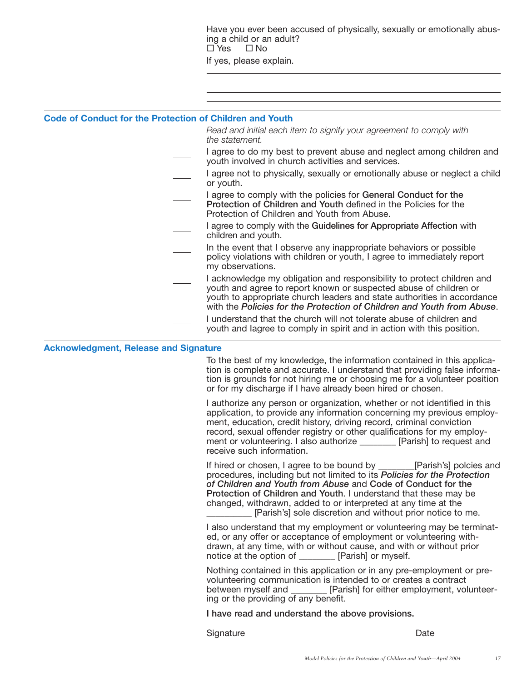Have you ever been accused of physically, sexually or emotionally abusing a child or an adult?<br> $\square$  Yes  $\square$  No  $\Box$  No If yes, please explain.

#### **Code of Conduct for the Protection of Children and Youth**

*Read and initial each item to signify your agreement to comply with the statement.*

- I agree to do my best to prevent abuse and neglect among children and youth involved in church activities and services.
- I agree not to physically, sexually or emotionally abuse or neglect a child or youth.
- I agree to comply with the policies for **General Conduct for the Protection of Children and Youth** defined in the Policies for the Protection of Children and Youth from Abuse.
- I agree to comply with the **Guidelines for Appropriate Affection** with children and youth.
- In the event that I observe any inappropriate behaviors or possible policy violations with children or youth, I agree to immediately report my observations.
- I acknowledge my obligation and responsibility to protect children and youth and agree to report known or suspected abuse of children or youth to appropriate church leaders and state authorities in accordance with the *Policies for the Protection of Children and Youth from Abuse*.
- I understand that the church will not tolerate abuse of children and youth and Iagree to comply in spirit and in action with this position.

#### **Acknowledgment, Release and Signature**

To the best of my knowledge, the information contained in this application is complete and accurate. I understand that providing false information is grounds for not hiring me or choosing me for a volunteer position or for my discharge if I have already been hired or chosen.

I authorize any person or organization, whether or not identified in this application, to provide any information concerning my previous employment, education, credit history, driving record, criminal conviction record, sexual offender registry or other qualifications for my employment or volunteering. I also authorize \_\_\_\_\_\_\_\_ [Parish] to request and receive such information.

If hired or chosen, I agree to be bound by \_\_\_\_\_\_\_\_[Parish's] polcies and procedures, including but not limited to its *Policies for the Protection of Children and Youth from Abuse* and **Code of Conduct for the Protection of Children and Youth**. I understand that these may be changed, withdrawn, added to or interpreted at any time at the [Parish's] sole discretion and without prior notice to me.

I also understand that my employment or volunteering may be terminated, or any offer or acceptance of employment or volunteering withdrawn, at any time, with or without cause, and with or without prior notice at the option of \_\_\_\_\_\_\_\_ [Parish] or myself.

Nothing contained in this application or in any pre-employment or prevolunteering communication is intended to or creates a contract between myself and \_\_\_\_\_\_\_\_ [Parish] for either employment, volunteering or the providing of any benefit.

**I have read and understand the above provisions.**

Signature Date Date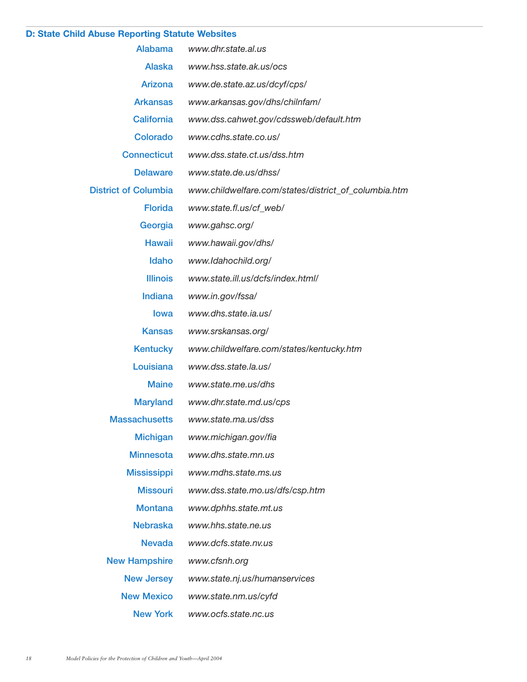### **D: State Child Abuse Reporting Statute Websites**

| Alabama                     | www.dhr.state.al.us                                  |
|-----------------------------|------------------------------------------------------|
| Alaska                      | www.hss.state.ak.us/ocs                              |
| Arizona                     | www.de.state.az.us/dcyf/cps/                         |
| <b>Arkansas</b>             | www.arkansas.gov/dhs/chilnfam/                       |
| <b>California</b>           | www.dss.cahwet.gov/cdssweb/default.htm               |
| <b>Colorado</b>             | www.cdhs.state.co.us/                                |
| <b>Connecticut</b>          | www.dss.state.ct.us/dss.htm                          |
| <b>Delaware</b>             | www.state.de.us/dhss/                                |
| <b>District of Columbia</b> | www.childwelfare.com/states/district_of_columbia.htm |
| <b>Florida</b>              | www.state.fl.us/cf_web/                              |
| Georgia                     | www.gahsc.org/                                       |
| <b>Hawaii</b>               | www.hawaii.gov/dhs/                                  |
| Idaho                       | www.Idahochild.org/                                  |
| <b>Illinois</b>             | www.state.ill.us/dcfs/index.html/                    |
| Indiana                     | www.in.gov/fssa/                                     |
| <b>lowa</b>                 | www.dhs.state.ia.us/                                 |
| <b>Kansas</b>               | www.srskansas.org/                                   |
| <b>Kentucky</b>             | www.childwelfare.com/states/kentucky.htm             |
| Louisiana                   | www.dss.state.la.us/                                 |
| Maine                       | www.state.me.us/dhs                                  |
| <b>Maryland</b>             | www.dhr.state.md.us/cps                              |
| <b>Massachusetts</b>        | www.state.ma.us/dss                                  |
| <b>Michigan</b>             | www.michigan.gov/fia                                 |
| <b>Minnesota</b>            | www.dhs.state.mn.us                                  |
| <b>Mississippi</b>          | www.mdhs.state.ms.us                                 |
| <b>Missouri</b>             | www.dss.state.mo.us/dfs/csp.htm                      |
| <b>Montana</b>              | www.dphhs.state.mt.us                                |
| <b>Nebraska</b>             | www.hhs.state.ne.us                                  |
| <b>Nevada</b>               | www.dcfs.state.nv.us                                 |
| <b>New Hampshire</b>        | www.cfsnh.org                                        |
| <b>New Jersey</b>           | www.state.nj.us/humanservices                        |
| <b>New Mexico</b>           | www.state.nm.us/cyfd                                 |
| <b>New York</b>             | www.ocfs.state.nc.us                                 |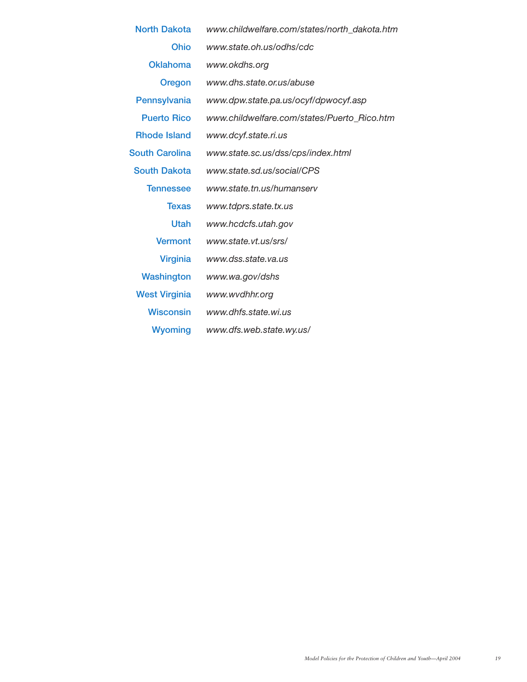| <b>North Dakota</b>   | www.childwelfare.com/states/north_dakota.htm |
|-----------------------|----------------------------------------------|
| <b>Ohio</b>           | www.state.oh.us/odhs/cdc                     |
| <b>Oklahoma</b>       | www.okdhs.org                                |
| Oregon                | www.dhs.state.or.us/abuse                    |
| Pennsylvania          | www.dpw.state.pa.us/ocyf/dpwocyf.asp         |
| <b>Puerto Rico</b>    | www.childwelfare.com/states/Puerto_Rico.htm  |
| <b>Rhode Island</b>   | www.dcyf.state.ri.us                         |
| <b>South Carolina</b> | www.state.sc.us/dss/cps/index.html           |
| <b>South Dakota</b>   | www.state.sd.us/social/CPS                   |
| <b>Tennessee</b>      | www.state.tn.us/humanserv                    |
| <b>Texas</b>          | www.tdprs.state.tx.us                        |
| <b>Utah</b>           | www.hcdcfs.utah.gov                          |
| <b>Vermont</b>        | www.state.vt.us/srs/                         |
| <b>Virginia</b>       | www.dss.state.va.us                          |
| Washington            | www.wa.gov/dshs                              |
| <b>West Virginia</b>  | www.wvdhhr.org                               |
| <b>Wisconsin</b>      | www.dhfs.state.wi.us                         |
| <b>Wyoming</b>        | www.dfs.web.state.wy.us/                     |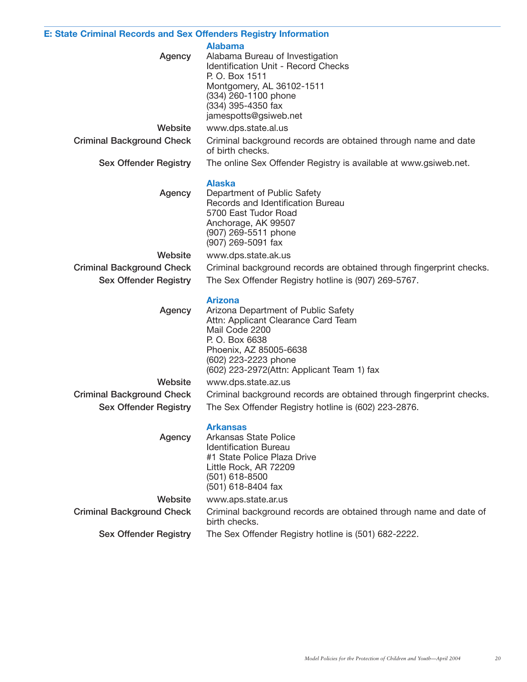### **E: State Criminal Records and Sex Offenders Registry Information**

**Alabama**

| P. O. Box 1511<br>Montgomery, AL 36102-1511<br>(334) 260-1100 phone<br>(334) 395-4350 fax<br>jamespotts@gsiweb.net<br>www.dps.state.al.us<br>Website<br><b>Criminal Background Check</b><br>Criminal background records are obtained through name and date<br>of birth checks.<br><b>Sex Offender Registry</b><br>The online Sex Offender Registry is available at www.gsiweb.net.<br><b>Alaska</b><br>Agency<br>Department of Public Safety<br>Records and Identification Bureau<br>5700 East Tudor Road<br>Anchorage, AK 99507<br>(907) 269-5511 phone<br>(907) 269-5091 fax<br>Website<br>www.dps.state.ak.us<br><b>Criminal Background Check</b><br>Criminal background records are obtained through fingerprint checks.<br>The Sex Offender Registry hotline is (907) 269-5767.<br><b>Sex Offender Registry</b><br><b>Arizona</b><br>Arizona Department of Public Safety<br>Agency<br>Attn: Applicant Clearance Card Team<br>Mail Code 2200<br>P. O. Box 6638<br>Phoenix, AZ 85005-6638<br>(602) 223-2223 phone<br>(602) 223-2972(Attn: Applicant Team 1) fax |  |
|--------------------------------------------------------------------------------------------------------------------------------------------------------------------------------------------------------------------------------------------------------------------------------------------------------------------------------------------------------------------------------------------------------------------------------------------------------------------------------------------------------------------------------------------------------------------------------------------------------------------------------------------------------------------------------------------------------------------------------------------------------------------------------------------------------------------------------------------------------------------------------------------------------------------------------------------------------------------------------------------------------------------------------------------------------------------|--|
|                                                                                                                                                                                                                                                                                                                                                                                                                                                                                                                                                                                                                                                                                                                                                                                                                                                                                                                                                                                                                                                                    |  |
|                                                                                                                                                                                                                                                                                                                                                                                                                                                                                                                                                                                                                                                                                                                                                                                                                                                                                                                                                                                                                                                                    |  |
|                                                                                                                                                                                                                                                                                                                                                                                                                                                                                                                                                                                                                                                                                                                                                                                                                                                                                                                                                                                                                                                                    |  |
|                                                                                                                                                                                                                                                                                                                                                                                                                                                                                                                                                                                                                                                                                                                                                                                                                                                                                                                                                                                                                                                                    |  |
|                                                                                                                                                                                                                                                                                                                                                                                                                                                                                                                                                                                                                                                                                                                                                                                                                                                                                                                                                                                                                                                                    |  |
|                                                                                                                                                                                                                                                                                                                                                                                                                                                                                                                                                                                                                                                                                                                                                                                                                                                                                                                                                                                                                                                                    |  |
|                                                                                                                                                                                                                                                                                                                                                                                                                                                                                                                                                                                                                                                                                                                                                                                                                                                                                                                                                                                                                                                                    |  |
|                                                                                                                                                                                                                                                                                                                                                                                                                                                                                                                                                                                                                                                                                                                                                                                                                                                                                                                                                                                                                                                                    |  |
|                                                                                                                                                                                                                                                                                                                                                                                                                                                                                                                                                                                                                                                                                                                                                                                                                                                                                                                                                                                                                                                                    |  |
| Website<br>www.dps.state.az.us                                                                                                                                                                                                                                                                                                                                                                                                                                                                                                                                                                                                                                                                                                                                                                                                                                                                                                                                                                                                                                     |  |
| <b>Criminal Background Check</b><br>Criminal background records are obtained through fingerprint checks.                                                                                                                                                                                                                                                                                                                                                                                                                                                                                                                                                                                                                                                                                                                                                                                                                                                                                                                                                           |  |
| <b>Sex Offender Registry</b><br>The Sex Offender Registry hotline is (602) 223-2876.                                                                                                                                                                                                                                                                                                                                                                                                                                                                                                                                                                                                                                                                                                                                                                                                                                                                                                                                                                               |  |
| <b>Arkansas</b><br>Arkansas State Police<br>Agency<br><b>Identification Bureau</b><br>#1 State Police Plaza Drive<br>Little Rock, AR 72209<br>(501) 618-8500<br>(501) 618-8404 fax                                                                                                                                                                                                                                                                                                                                                                                                                                                                                                                                                                                                                                                                                                                                                                                                                                                                                 |  |
| Website<br>www.aps.state.ar.us                                                                                                                                                                                                                                                                                                                                                                                                                                                                                                                                                                                                                                                                                                                                                                                                                                                                                                                                                                                                                                     |  |
| <b>Criminal Background Check</b><br>Criminal background records are obtained through name and date of<br>birth checks.                                                                                                                                                                                                                                                                                                                                                                                                                                                                                                                                                                                                                                                                                                                                                                                                                                                                                                                                             |  |
| <b>Sex Offender Registry</b><br>The Sex Offender Registry hotline is (501) 682-2222.                                                                                                                                                                                                                                                                                                                                                                                                                                                                                                                                                                                                                                                                                                                                                                                                                                                                                                                                                                               |  |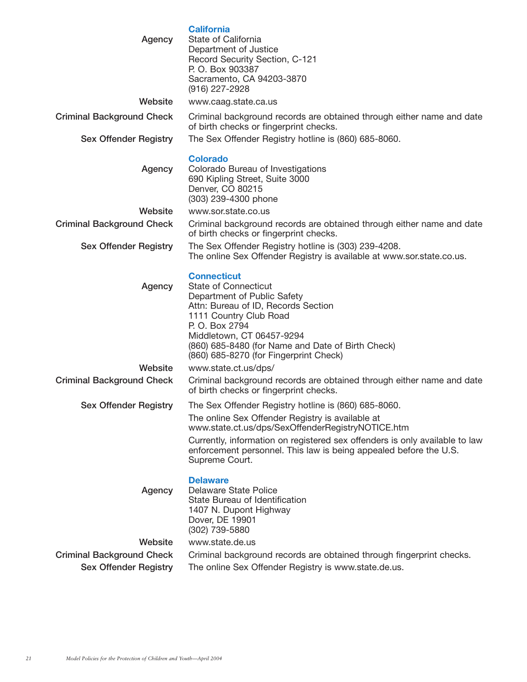| Agency                           | <b>California</b><br>State of California<br>Department of Justice<br>Record Security Section, C-121<br>P. O. Box 903387<br>Sacramento, CA 94203-3870<br>(916) 227-2928                                                                                                                          |
|----------------------------------|-------------------------------------------------------------------------------------------------------------------------------------------------------------------------------------------------------------------------------------------------------------------------------------------------|
| Website                          | www.caag.state.ca.us                                                                                                                                                                                                                                                                            |
| <b>Criminal Background Check</b> | Criminal background records are obtained through either name and date<br>of birth checks or fingerprint checks.                                                                                                                                                                                 |
| <b>Sex Offender Registry</b>     | The Sex Offender Registry hotline is (860) 685-8060.                                                                                                                                                                                                                                            |
| Agency                           | <b>Colorado</b><br>Colorado Bureau of Investigations<br>690 Kipling Street, Suite 3000<br>Denver, CO 80215<br>(303) 239-4300 phone                                                                                                                                                              |
| Website                          | www.sor.state.co.us                                                                                                                                                                                                                                                                             |
| <b>Criminal Background Check</b> | Criminal background records are obtained through either name and date<br>of birth checks or fingerprint checks.                                                                                                                                                                                 |
| <b>Sex Offender Registry</b>     | The Sex Offender Registry hotline is (303) 239-4208.<br>The online Sex Offender Registry is available at www.sor.state.co.us.                                                                                                                                                                   |
| Agency                           | <b>Connecticut</b><br><b>State of Connecticut</b><br>Department of Public Safety<br>Attn: Bureau of ID, Records Section<br>1111 Country Club Road<br>P. O. Box 2794<br>Middletown, CT 06457-9294<br>(860) 685-8480 (for Name and Date of Birth Check)<br>(860) 685-8270 (for Fingerprint Check) |
| Website                          | www.state.ct.us/dps/                                                                                                                                                                                                                                                                            |
| <b>Criminal Background Check</b> | Criminal background records are obtained through either name and date<br>of birth checks or fingerprint checks.                                                                                                                                                                                 |
| <b>Sex Offender Registry</b>     | The Sex Offender Registry hotline is (860) 685-8060.                                                                                                                                                                                                                                            |
|                                  | The online Sex Offender Registry is available at<br>www.state.ct.us/dps/SexOffenderRegistryNOTICE.htm                                                                                                                                                                                           |
|                                  | Currently, information on registered sex offenders is only available to law<br>enforcement personnel. This law is being appealed before the U.S.<br>Supreme Court.                                                                                                                              |
| Agency                           | <b>Delaware</b><br><b>Delaware State Police</b><br>State Bureau of Identification<br>1407 N. Dupont Highway<br>Dover, DE 19901<br>(302) 739-5880                                                                                                                                                |
| Website                          | www.state.de.us                                                                                                                                                                                                                                                                                 |
| <b>Criminal Background Check</b> | Criminal background records are obtained through fingerprint checks.                                                                                                                                                                                                                            |
| <b>Sex Offender Registry</b>     | The online Sex Offender Registry is www.state.de.us.                                                                                                                                                                                                                                            |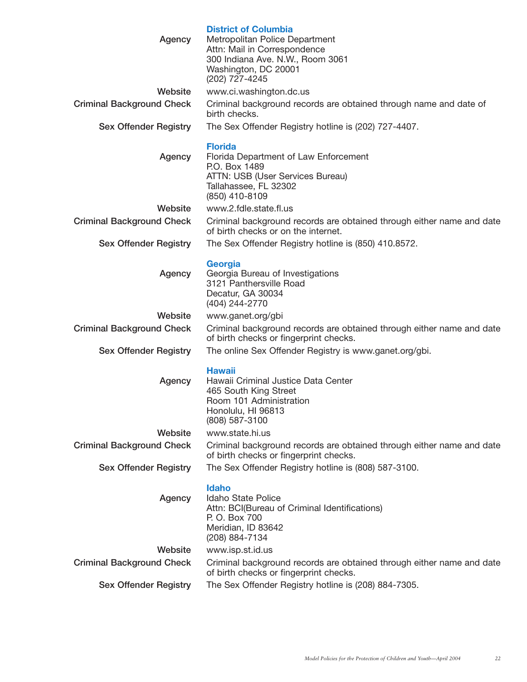| Agency                           | <b>District of Columbia</b><br>Metropolitan Police Department<br>Attn: Mail in Correspondence<br>300 Indiana Ave. N.W., Room 3061<br>Washington, DC 20001<br>(202) 727-4245 |
|----------------------------------|-----------------------------------------------------------------------------------------------------------------------------------------------------------------------------|
| Website                          | www.ci.washington.dc.us                                                                                                                                                     |
| <b>Criminal Background Check</b> | Criminal background records are obtained through name and date of<br>birth checks.                                                                                          |
| <b>Sex Offender Registry</b>     | The Sex Offender Registry hotline is (202) 727-4407.                                                                                                                        |
| Agency                           | <b>Florida</b><br>Florida Department of Law Enforcement<br>P.O. Box 1489<br>ATTN: USB (User Services Bureau)<br>Tallahassee, FL 32302<br>(850) 410-8109                     |
| Website                          | www.2.fdle.state.fl.us                                                                                                                                                      |
| <b>Criminal Background Check</b> | Criminal background records are obtained through either name and date<br>of birth checks or on the internet.                                                                |
| <b>Sex Offender Registry</b>     | The Sex Offender Registry hotline is (850) 410.8572.                                                                                                                        |
| Agency                           | <b>Georgia</b><br>Georgia Bureau of Investigations<br>3121 Panthersville Road<br>Decatur, GA 30034<br>(404) 244-2770                                                        |
| Website                          | www.ganet.org/gbi                                                                                                                                                           |
| <b>Criminal Background Check</b> | Criminal background records are obtained through either name and date<br>of birth checks or fingerprint checks.                                                             |
| <b>Sex Offender Registry</b>     | The online Sex Offender Registry is www.ganet.org/gbi.                                                                                                                      |
| Agency                           | <b>Hawaii</b><br>Hawaii Criminal Justice Data Center<br>465 South King Street<br>Room 101 Administration<br>Honolulu, HI 96813<br>(808) 587-3100                            |
| Website                          | www.state.hi.us                                                                                                                                                             |
| <b>Criminal Background Check</b> | Criminal background records are obtained through either name and date<br>of birth checks or fingerprint checks.                                                             |
| <b>Sex Offender Registry</b>     | The Sex Offender Registry hotline is (808) 587-3100.                                                                                                                        |
| Agency                           | <b>Idaho</b><br>Idaho State Police<br>Attn: BCI(Bureau of Criminal Identifications)<br>P. O. Box 700<br>Meridian, ID 83642<br>(208) 884-7134                                |
| Website                          | www.isp.st.id.us                                                                                                                                                            |
| <b>Criminal Background Check</b> | Criminal background records are obtained through either name and date<br>of birth checks or fingerprint checks.                                                             |
| <b>Sex Offender Registry</b>     | The Sex Offender Registry hotline is (208) 884-7305.                                                                                                                        |
|                                  |                                                                                                                                                                             |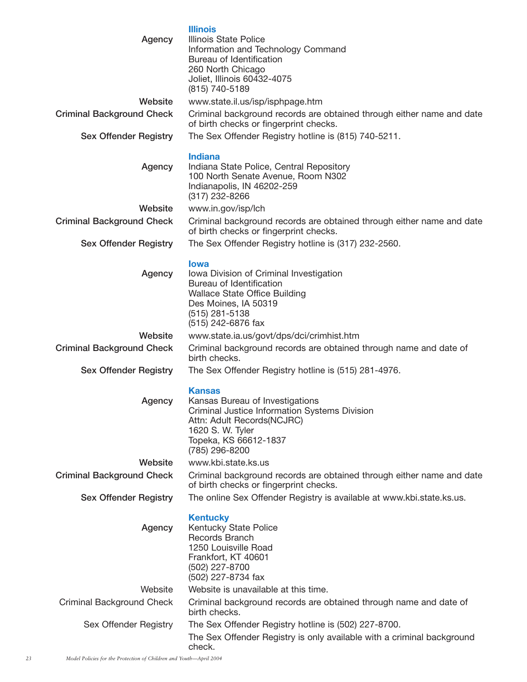| Agency                           | <b>Illinois</b><br>Illinois State Police<br>Information and Technology Command<br>Bureau of Identification<br>260 North Chicago<br>Joliet, Illinois 60432-4075<br>(815) 740-5189               |
|----------------------------------|------------------------------------------------------------------------------------------------------------------------------------------------------------------------------------------------|
| Website                          | www.state.il.us/isp/isphpage.htm                                                                                                                                                               |
| <b>Criminal Background Check</b> | Criminal background records are obtained through either name and date<br>of birth checks or fingerprint checks.                                                                                |
| <b>Sex Offender Registry</b>     | The Sex Offender Registry hotline is (815) 740-5211.                                                                                                                                           |
| Agency                           | <b>Indiana</b><br>Indiana State Police, Central Repository<br>100 North Senate Avenue, Room N302<br>Indianapolis, IN 46202-259<br>(317) 232-8266                                               |
| Website                          | www.in.gov/isp/lch                                                                                                                                                                             |
| <b>Criminal Background Check</b> | Criminal background records are obtained through either name and date<br>of birth checks or fingerprint checks.                                                                                |
| <b>Sex Offender Registry</b>     | The Sex Offender Registry hotline is (317) 232-2560.                                                                                                                                           |
| Agency                           | <b>lowa</b><br>Iowa Division of Criminal Investigation<br>Bureau of Identification<br><b>Wallace State Office Building</b><br>Des Moines, IA 50319<br>$(515)$ 281-5138<br>(515) 242-6876 fax   |
| Website                          | www.state.ia.us/govt/dps/dci/crimhist.htm                                                                                                                                                      |
| <b>Criminal Background Check</b> | Criminal background records are obtained through name and date of<br>birth checks.                                                                                                             |
| <b>Sex Offender Registry</b>     | The Sex Offender Registry hotline is (515) 281-4976.                                                                                                                                           |
| Agency                           | <b>Kansas</b><br>Kansas Bureau of Investigations<br>Criminal Justice Information Systems Division<br>Attn: Adult Records(NCJRC)<br>1620 S. W. Tyler<br>Topeka, KS 66612-1837<br>(785) 296-8200 |
| Website                          | www.kbi.state.ks.us                                                                                                                                                                            |
| <b>Criminal Background Check</b> | Criminal background records are obtained through either name and date<br>of birth checks or fingerprint checks.                                                                                |
| <b>Sex Offender Registry</b>     | The online Sex Offender Registry is available at www.kbi.state.ks.us.                                                                                                                          |
| Agency                           | <b>Kentucky</b><br>Kentucky State Police<br>Records Branch<br>1250 Louisville Road<br>Frankfort, KT 40601<br>(502) 227-8700<br>(502) 227-8734 fax                                              |
| Website                          | Website is unavailable at this time.                                                                                                                                                           |
| <b>Criminal Background Check</b> | Criminal background records are obtained through name and date of<br>birth checks.                                                                                                             |
| Sex Offender Registry            | The Sex Offender Registry hotline is (502) 227-8700.                                                                                                                                           |
|                                  | The Sex Offender Registry is only available with a criminal background<br>check.                                                                                                               |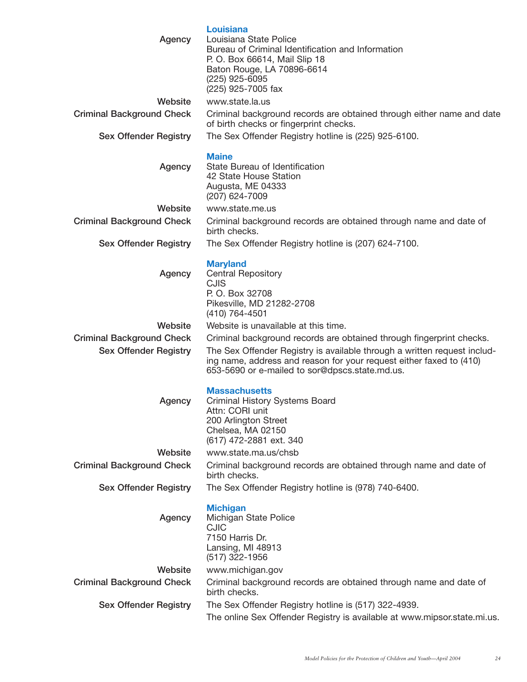| Agency                           | <b>Louisiana</b><br>Louisiana State Police<br>Bureau of Criminal Identification and Information<br>P. O. Box 66614, Mail Slip 18<br>Baton Rouge, LA 70896-6614<br>(225) 925-6095<br>(225) 925-7005 fax |
|----------------------------------|--------------------------------------------------------------------------------------------------------------------------------------------------------------------------------------------------------|
| Website                          | www.state.la.us                                                                                                                                                                                        |
| <b>Criminal Background Check</b> | Criminal background records are obtained through either name and date<br>of birth checks or fingerprint checks.                                                                                        |
| <b>Sex Offender Registry</b>     | The Sex Offender Registry hotline is (225) 925-6100.                                                                                                                                                   |
| Agency                           | <b>Maine</b><br>State Bureau of Identification<br>42 State House Station<br>Augusta, ME 04333<br>(207) 624-7009                                                                                        |
| Website                          | www.state.me.us                                                                                                                                                                                        |
| <b>Criminal Background Check</b> | Criminal background records are obtained through name and date of<br>birth checks.                                                                                                                     |
| <b>Sex Offender Registry</b>     | The Sex Offender Registry hotline is (207) 624-7100.                                                                                                                                                   |
| Agency                           | <b>Maryland</b><br><b>Central Repository</b><br><b>CJIS</b><br>P. O. Box 32708<br>Pikesville, MD 21282-2708<br>(410) 764-4501                                                                          |
| Website                          | Website is unavailable at this time.                                                                                                                                                                   |
| <b>Criminal Background Check</b> | Criminal background records are obtained through fingerprint checks.                                                                                                                                   |
| <b>Sex Offender Registry</b>     | The Sex Offender Registry is available through a written request includ-<br>ing name, address and reason for your request either faxed to (410)<br>653-5690 or e-mailed to sor@dpscs.state.md.us.      |
| Agency                           | <b>Massachusetts</b><br>Criminal History Systems Board<br>Attn: CORI unit<br>200 Arlington Street<br>Chelsea, MA 02150<br>(617) 472-2881 ext. 340                                                      |
| Website                          | www.state.ma.us/chsb                                                                                                                                                                                   |
| <b>Criminal Background Check</b> | Criminal background records are obtained through name and date of<br>birth checks.                                                                                                                     |
| <b>Sex Offender Registry</b>     | The Sex Offender Registry hotline is (978) 740-6400.                                                                                                                                                   |
| Agency                           | <b>Michigan</b><br>Michigan State Police<br><b>CJIC</b><br>7150 Harris Dr.<br>Lansing, MI 48913<br>(517) 322-1956                                                                                      |
| Website                          | www.michigan.gov                                                                                                                                                                                       |
| <b>Criminal Background Check</b> | Criminal background records are obtained through name and date of<br>birth checks.                                                                                                                     |
| <b>Sex Offender Registry</b>     | The Sex Offender Registry hotline is (517) 322-4939.                                                                                                                                                   |
|                                  | The online Sex Offender Registry is available at www.mipsor.state.mi.us.                                                                                                                               |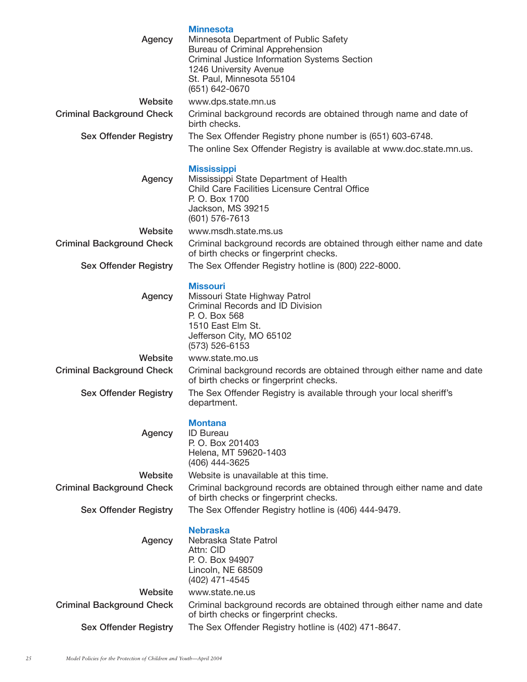| Agency                           | <b>Minnesota</b><br>Minnesota Department of Public Safety<br>Bureau of Criminal Apprehension<br><b>Criminal Justice Information Systems Section</b><br>1246 University Avenue<br>St. Paul, Minnesota 55104<br>(651) 642-0670 |
|----------------------------------|------------------------------------------------------------------------------------------------------------------------------------------------------------------------------------------------------------------------------|
| Website                          | www.dps.state.mn.us                                                                                                                                                                                                          |
| <b>Criminal Background Check</b> | Criminal background records are obtained through name and date of<br>birth checks.                                                                                                                                           |
| <b>Sex Offender Registry</b>     | The Sex Offender Registry phone number is (651) 603-6748.                                                                                                                                                                    |
|                                  | The online Sex Offender Registry is available at www.doc.state.mn.us.                                                                                                                                                        |
| Agency                           | <b>Mississippi</b><br>Mississippi State Department of Health<br>Child Care Facilities Licensure Central Office<br>P. O. Box 1700<br>Jackson, MS 39215<br>(601) 576-7613                                                      |
| Website                          | www.msdh.state.ms.us                                                                                                                                                                                                         |
| <b>Criminal Background Check</b> | Criminal background records are obtained through either name and date<br>of birth checks or fingerprint checks.                                                                                                              |
| <b>Sex Offender Registry</b>     | The Sex Offender Registry hotline is (800) 222-8000.                                                                                                                                                                         |
| Agency                           | <b>Missouri</b><br>Missouri State Highway Patrol<br>Criminal Records and ID Division<br>P. O. Box 568<br>1510 East Elm St.<br>Jefferson City, MO 65102<br>(573) 526-6153                                                     |
| Website                          | www.state.mo.us                                                                                                                                                                                                              |
| <b>Criminal Background Check</b> | Criminal background records are obtained through either name and date<br>of birth checks or fingerprint checks.                                                                                                              |
| <b>Sex Offender Registry</b>     | The Sex Offender Registry is available through your local sheriff's<br>department.                                                                                                                                           |
| Agency                           | <b>Montana</b><br><b>ID Bureau</b><br>P. O. Box 201403<br>Helena, MT 59620-1403<br>(406) 444-3625                                                                                                                            |
| Website                          | Website is unavailable at this time.                                                                                                                                                                                         |
| <b>Criminal Background Check</b> | Criminal background records are obtained through either name and date<br>of birth checks or fingerprint checks.                                                                                                              |
| <b>Sex Offender Registry</b>     | The Sex Offender Registry hotline is (406) 444-9479.                                                                                                                                                                         |
| Agency                           | <b>Nebraska</b><br>Nebraska State Patrol<br>Attn: CID<br>P. O. Box 94907<br>Lincoln, NE 68509<br>(402) 471-4545                                                                                                              |
| Website                          | www.state.ne.us                                                                                                                                                                                                              |
| <b>Criminal Background Check</b> | Criminal background records are obtained through either name and date<br>of birth checks or fingerprint checks.                                                                                                              |
| <b>Sex Offender Registry</b>     | The Sex Offender Registry hotline is (402) 471-8647.                                                                                                                                                                         |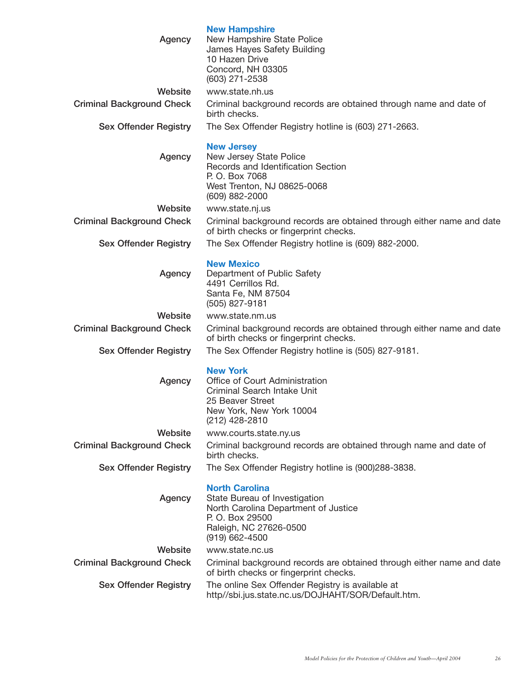| Agency                           | <b>New Hampshire</b><br>New Hampshire State Police<br>James Hayes Safety Building<br>10 Hazen Drive<br>Concord, NH 03305                                          |
|----------------------------------|-------------------------------------------------------------------------------------------------------------------------------------------------------------------|
|                                  | (603) 271-2538                                                                                                                                                    |
| Website                          | www.state.nh.us                                                                                                                                                   |
| <b>Criminal Background Check</b> | Criminal background records are obtained through name and date of<br>birth checks.                                                                                |
| <b>Sex Offender Registry</b>     | The Sex Offender Registry hotline is (603) 271-2663.                                                                                                              |
| Agency                           | <b>New Jersey</b><br>New Jersey State Police<br>Records and Identification Section<br>P. O. Box 7068<br>West Trenton, NJ 08625-0068<br>(609) 882-2000             |
| Website                          | www.state.nj.us                                                                                                                                                   |
| <b>Criminal Background Check</b> | Criminal background records are obtained through either name and date<br>of birth checks or fingerprint checks.                                                   |
| <b>Sex Offender Registry</b>     | The Sex Offender Registry hotline is (609) 882-2000.                                                                                                              |
| Agency                           | <b>New Mexico</b><br>Department of Public Safety<br>4491 Cerrillos Rd.<br>Santa Fe, NM 87504<br>(505) 827-9181                                                    |
| Website                          | www.state.nm.us                                                                                                                                                   |
| <b>Criminal Background Check</b> | Criminal background records are obtained through either name and date<br>of birth checks or fingerprint checks.                                                   |
| <b>Sex Offender Registry</b>     | The Sex Offender Registry hotline is (505) 827-9181.                                                                                                              |
| Agency                           | <b>New York</b><br>Office of Court Administration<br>Criminal Search Intake Unit<br>25 Beaver Street<br>New York, New York 10004<br>(212) 428-2810                |
| Website                          | www.courts.state.ny.us                                                                                                                                            |
| <b>Criminal Background Check</b> | Criminal background records are obtained through name and date of<br>birth checks.                                                                                |
| <b>Sex Offender Registry</b>     | The Sex Offender Registry hotline is (900)288-3838.                                                                                                               |
| Agency                           | <b>North Carolina</b><br>State Bureau of Investigation<br>North Carolina Department of Justice<br>P. O. Box 29500<br>Raleigh, NC 27626-0500<br>$(919) 662 - 4500$ |
| Website                          | www.state.nc.us                                                                                                                                                   |
| <b>Criminal Background Check</b> | Criminal background records are obtained through either name and date<br>of birth checks or fingerprint checks.                                                   |
| <b>Sex Offender Registry</b>     | The online Sex Offender Registry is available at<br>http//sbi.jus.state.nc.us/DOJHAHT/SOR/Default.htm.                                                            |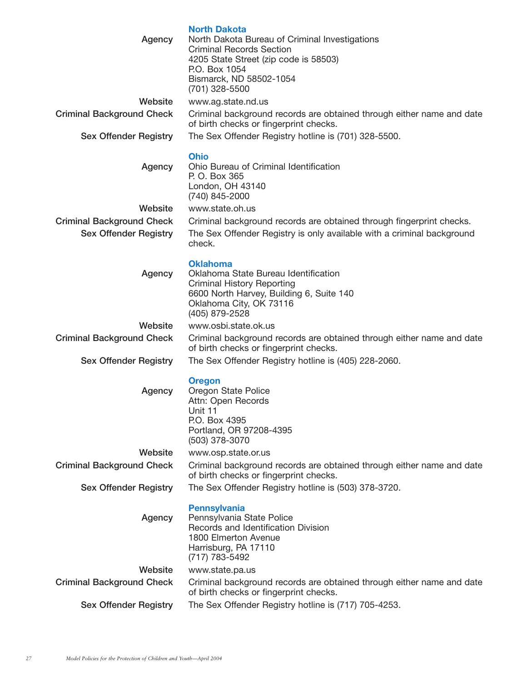| Agency                                                           | <b>North Dakota</b><br>North Dakota Bureau of Criminal Investigations<br><b>Criminal Records Section</b><br>4205 State Street (zip code is 58503)<br>P.O. Box 1054<br>Bismarck, ND 58502-1054<br>(701) 328-5500 |
|------------------------------------------------------------------|-----------------------------------------------------------------------------------------------------------------------------------------------------------------------------------------------------------------|
| Website<br><b>Criminal Background Check</b>                      | www.ag.state.nd.us<br>Criminal background records are obtained through either name and date<br>of birth checks or fingerprint checks.                                                                           |
| <b>Sex Offender Registry</b>                                     | The Sex Offender Registry hotline is (701) 328-5500.                                                                                                                                                            |
| Agency                                                           | <b>Ohio</b><br>Ohio Bureau of Criminal Identification<br>P. O. Box 365<br>London, OH 43140<br>(740) 845-2000                                                                                                    |
| Website                                                          | www.state.oh.us                                                                                                                                                                                                 |
| <b>Criminal Background Check</b><br><b>Sex Offender Registry</b> | Criminal background records are obtained through fingerprint checks.<br>The Sex Offender Registry is only available with a criminal background<br>check.                                                        |
| Agency                                                           | <b>Oklahoma</b><br>Oklahoma State Bureau Identification<br><b>Criminal History Reporting</b><br>6600 North Harvey, Building 6, Suite 140<br>Oklahoma City, OK 73116<br>(405) 879-2528                           |
| Website                                                          | www.osbi.state.ok.us                                                                                                                                                                                            |
| <b>Criminal Background Check</b>                                 | Criminal background records are obtained through either name and date<br>of birth checks or fingerprint checks.                                                                                                 |
| <b>Sex Offender Registry</b>                                     | The Sex Offender Registry hotline is (405) 228-2060.                                                                                                                                                            |
| Agency                                                           | <b>Oregon</b><br>Oregon State Police<br>Attn: Open Records<br>Unit 11<br>P.O. Box 4395<br>Portland, OR 97208-4395<br>(503) 378-3070                                                                             |
| Website                                                          | www.osp.state.or.us                                                                                                                                                                                             |
| <b>Criminal Background Check</b>                                 | Criminal background records are obtained through either name and date<br>of birth checks or fingerprint checks.                                                                                                 |
| <b>Sex Offender Registry</b>                                     | The Sex Offender Registry hotline is (503) 378-3720.                                                                                                                                                            |
| Agency                                                           | <b>Pennsylvania</b><br>Pennsylvania State Police<br>Records and Identification Division<br>1800 Elmerton Avenue<br>Harrisburg, PA 17110<br>(717) 783-5492                                                       |
| Website                                                          | www.state.pa.us                                                                                                                                                                                                 |
| <b>Criminal Background Check</b>                                 | Criminal background records are obtained through either name and date<br>of birth checks or fingerprint checks.                                                                                                 |
| <b>Sex Offender Registry</b>                                     | The Sex Offender Registry hotline is (717) 705-4253.                                                                                                                                                            |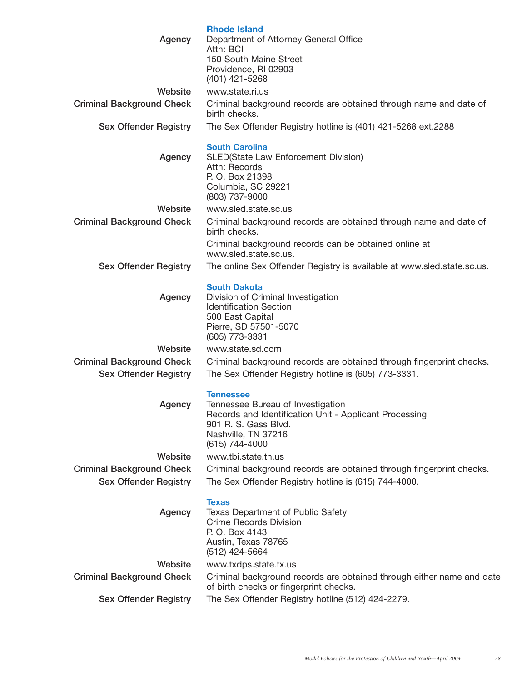| Agency                           | <b>Rhode Island</b><br>Department of Attorney General Office<br>Attn: BCI<br>150 South Maine Street<br>Providence, RI 02903<br>(401) 421-5268                                    |
|----------------------------------|----------------------------------------------------------------------------------------------------------------------------------------------------------------------------------|
| Website                          | www.state.ri.us                                                                                                                                                                  |
| <b>Criminal Background Check</b> | Criminal background records are obtained through name and date of<br>birth checks.                                                                                               |
| <b>Sex Offender Registry</b>     | The Sex Offender Registry hotline is (401) 421-5268 ext.2288                                                                                                                     |
| Agency                           | <b>South Carolina</b><br>SLED(State Law Enforcement Division)<br>Attn: Records<br>P. O. Box 21398<br>Columbia, SC 29221<br>(803) 737-9000                                        |
| Website                          | www.sled.state.sc.us                                                                                                                                                             |
| <b>Criminal Background Check</b> | Criminal background records are obtained through name and date of<br>birth checks.                                                                                               |
|                                  | Criminal background records can be obtained online at<br>www.sled.state.sc.us.                                                                                                   |
| <b>Sex Offender Registry</b>     | The online Sex Offender Registry is available at www.sled.state.sc.us.                                                                                                           |
| Agency                           | <b>South Dakota</b><br>Division of Criminal Investigation<br><b>Identification Section</b><br>500 East Capital<br>Pierre, SD 57501-5070<br>(605) 773-3331                        |
| Website                          | www.state.sd.com                                                                                                                                                                 |
| <b>Criminal Background Check</b> | Criminal background records are obtained through fingerprint checks.                                                                                                             |
| <b>Sex Offender Registry</b>     | The Sex Offender Registry hotline is (605) 773-3331.                                                                                                                             |
| Agency                           | <b>Tennessee</b><br>Tennessee Bureau of Investigation<br>Records and Identification Unit - Applicant Processing<br>901 R. S. Gass Blvd.<br>Nashville, TN 37216<br>(615) 744-4000 |
| Website                          | www.tbi.state.tn.us                                                                                                                                                              |
| <b>Criminal Background Check</b> | Criminal background records are obtained through fingerprint checks.                                                                                                             |
| <b>Sex Offender Registry</b>     | The Sex Offender Registry hotline is (615) 744-4000.                                                                                                                             |
| Agency                           | <b>Texas</b><br>Texas Department of Public Safety<br><b>Crime Records Division</b><br>P. O. Box 4143<br>Austin, Texas 78765<br>(512) 424-5664                                    |
| Website                          | www.txdps.state.tx.us                                                                                                                                                            |
| <b>Criminal Background Check</b> | Criminal background records are obtained through either name and date<br>of birth checks or fingerprint checks.                                                                  |
| <b>Sex Offender Registry</b>     | The Sex Offender Registry hotline (512) 424-2279.                                                                                                                                |
|                                  |                                                                                                                                                                                  |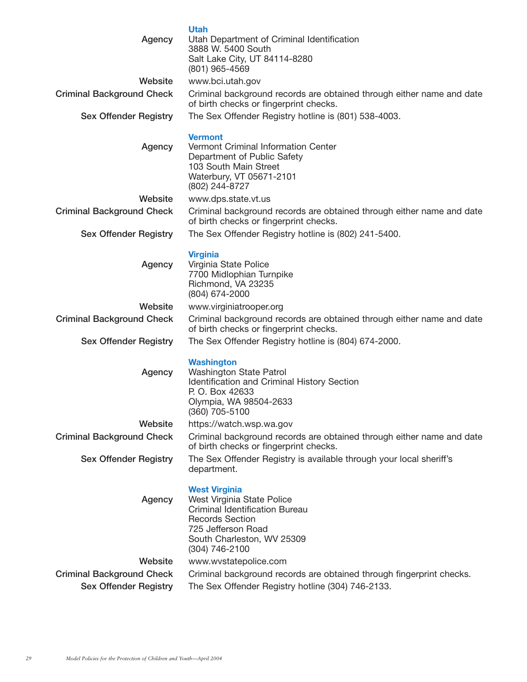| Agency                           | <b>Utah</b><br>Utah Department of Criminal Identification<br>3888 W. 5400 South<br>Salt Lake City, UT 84114-8280<br>(801) 965-4569                                                          |
|----------------------------------|---------------------------------------------------------------------------------------------------------------------------------------------------------------------------------------------|
| Website                          | www.bci.utah.gov                                                                                                                                                                            |
| <b>Criminal Background Check</b> | Criminal background records are obtained through either name and date                                                                                                                       |
|                                  | of birth checks or fingerprint checks.                                                                                                                                                      |
| <b>Sex Offender Registry</b>     | The Sex Offender Registry hotline is (801) 538-4003.                                                                                                                                        |
| Agency                           | <b>Vermont</b><br>Vermont Criminal Information Center<br>Department of Public Safety<br>103 South Main Street<br>Waterbury, VT 05671-2101<br>(802) 244-8727                                 |
| Website                          | www.dps.state.vt.us                                                                                                                                                                         |
| <b>Criminal Background Check</b> | Criminal background records are obtained through either name and date<br>of birth checks or fingerprint checks.                                                                             |
| <b>Sex Offender Registry</b>     | The Sex Offender Registry hotline is (802) 241-5400.                                                                                                                                        |
|                                  |                                                                                                                                                                                             |
| Agency                           | <b>Virginia</b><br>Virginia State Police<br>7700 Midlophian Turnpike<br>Richmond, VA 23235<br>(804) 674-2000                                                                                |
| Website                          | www.virginiatrooper.org                                                                                                                                                                     |
| <b>Criminal Background Check</b> | Criminal background records are obtained through either name and date<br>of birth checks or fingerprint checks.                                                                             |
| <b>Sex Offender Registry</b>     | The Sex Offender Registry hotline is (804) 674-2000.                                                                                                                                        |
| Agency                           | <b>Washington</b><br>Washington State Patrol<br>Identification and Criminal History Section<br>P. O. Box 42633<br>Olympia, WA 98504-2633<br>(360) 705-5100                                  |
| Website                          | https://watch.wsp.wa.gov                                                                                                                                                                    |
| <b>Criminal Background Check</b> | Criminal background records are obtained through either name and date<br>of birth checks or fingerprint checks.                                                                             |
| <b>Sex Offender Registry</b>     | The Sex Offender Registry is available through your local sheriff's<br>department.                                                                                                          |
| Agency                           | <b>West Virginia</b><br>West Virginia State Police<br><b>Criminal Identification Bureau</b><br><b>Records Section</b><br>725 Jefferson Road<br>South Charleston, WV 25309<br>(304) 746-2100 |
| Website                          | www.wvstatepolice.com                                                                                                                                                                       |
| <b>Criminal Background Check</b> | Criminal background records are obtained through fingerprint checks.                                                                                                                        |
| <b>Sex Offender Registry</b>     | The Sex Offender Registry hotline (304) 746-2133.                                                                                                                                           |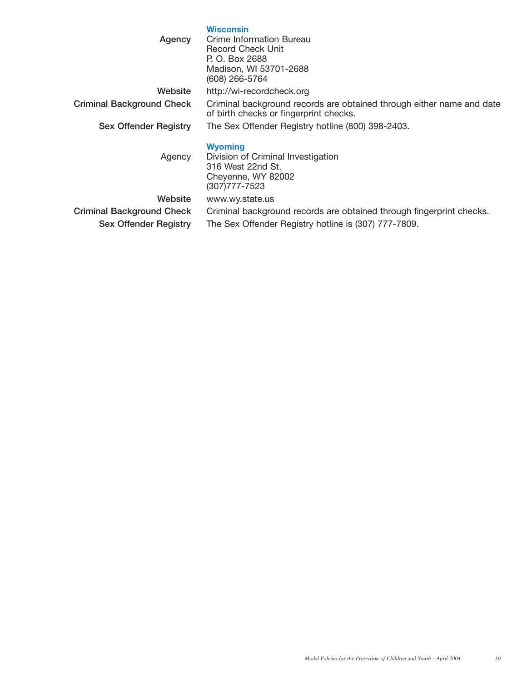#### **Wisconsin**

**Agency** Crime Information Bureau Record Check Unit P. O. Box 2688 Madison, WI 53701-2688 (608) 266-5764

**Website** http://wi-recordcheck.org

**Criminal Background Check** Criminal background records are obtained through either name and date of birth checks or fingerprint checks.

**Sex Offender Registry** The Sex Offender Registry hotline (800) 398-2403.

#### **Wyoming**

Agency Division of Criminal Investigation 316 West 22nd St. Cheyenne, WY 82002 (307)777-7523 **Website** www.wy.state.us **Criminal Background Check** Criminal background records are obtained through fingerprint checks. **Sex Offender Registry** The Sex Offender Registry hotline is (307) 777-7809.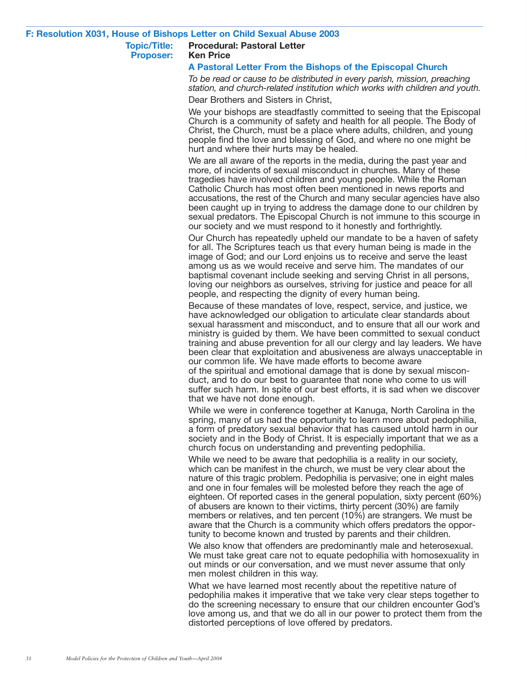#### **F: Resolution X031, House of Bishops Letter on Child Sexual Abuse 2003**

#### **Topic/Title: Procedural: Pastoral Letter Proposer: Ken Price**

#### **A Pastoral Letter From the Bishops of the Episcopal Church**

*To be read or cause to be distributed in every parish, mission, preaching station, and church-related institution which works with children and youth.*

Dear Brothers and Sisters in Christ,

We your bishops are steadfastly committed to seeing that the Episcopal Church is a community of safety and health for all people. The Body of Christ, the Church, must be a place where adults, children, and young people find the love and blessing of God, and where no one might be hurt and where their hurts may be healed.

We are all aware of the reports in the media, during the past year and more, of incidents of sexual misconduct in churches. Many of these tragedies have involved children and young people. While the Roman Catholic Church has most often been mentioned in news reports and accusations, the rest of the Church and many secular agencies have also been caught up in trying to address the damage done to our children by sexual predators. The Episcopal Church is not immune to this scourge in our society and we must respond to it honestly and forthrightly.

Our Church has repeatedly upheld our mandate to be a haven of safety for all. The Scriptures teach us that every human being is made in the image of God; and our Lord enjoins us to receive and serve the least among us as we would receive and serve him. The mandates of our baptismal covenant include seeking and serving Christ in all persons, loving our neighbors as ourselves, striving for justice and peace for all people, and respecting the dignity of every human being.

Because of these mandates of love, respect, service, and justice, we have acknowledged our obligation to articulate clear standards about sexual harassment and misconduct, and to ensure that all our work and ministry is guided by them. We have been committed to sexual conduct training and abuse prevention for all our clergy and lay leaders. We have been clear that exploitation and abusiveness are always unacceptable in our common life. We have made efforts to become aware of the spiritual and emotional damage that is done by sexual misconduct, and to do our best to guarantee that none who come to us will suffer such harm. In spite of our best efforts, it is sad when we discover that we have not done enough.

While we were in conference together at Kanuga, North Carolina in the spring, many of us had the opportunity to learn more about pedophilia, a form of predatory sexual behavior that has caused untold harm in our society and in the Body of Christ. It is especially important that we as a church focus on understanding and preventing pedophilia.

While we need to be aware that pedophilia is a reality in our society, which can be manifest in the church, we must be very clear about the nature of this tragic problem. Pedophilia is pervasive; one in eight males and one in four females will be molested before they reach the age of eighteen. Of reported cases in the general population, sixty percent (60%) of abusers are known to their victims, thirty percent (30%) are family members or relatives, and ten percent (10%) are strangers. We must be aware that the Church is a community which offers predators the opportunity to become known and trusted by parents and their children.

We also know that offenders are predominantly male and heterosexual. We must take great care not to equate pedophilia with homosexuality in out minds or our conversation, and we must never assume that only men molest children in this way.

What we have learned most recently about the repetitive nature of pedophilia makes it imperative that we take very clear steps together to do the screening necessary to ensure that our children encounter God's love among us, and that we do all in our power to protect them from the distorted perceptions of love offered by predators.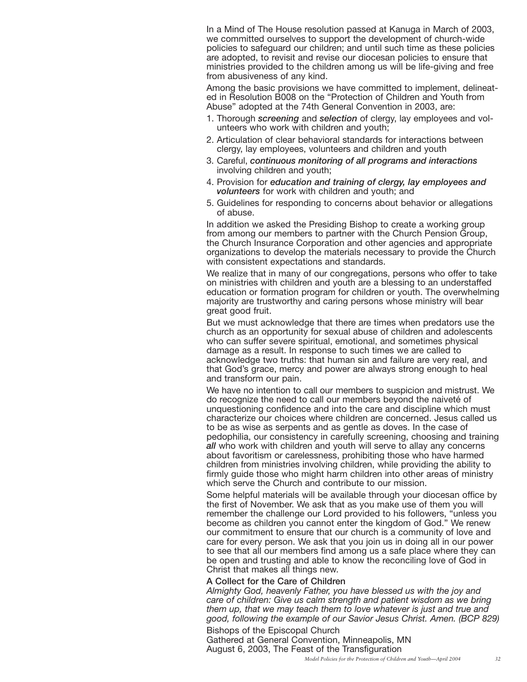In a Mind of The House resolution passed at Kanuga in March of 2003, we committed ourselves to support the development of church-wide policies to safeguard our children; and until such time as these policies are adopted, to revisit and revise our diocesan policies to ensure that ministries provided to the children among us will be life-giving and free from abusiveness of any kind.

Among the basic provisions we have committed to implement, delineated in Resolution B008 on the "Protection of Children and Youth from Abuse" adopted at the 74th General Convention in 2003, are:

- 1. Thorough *screening* and *selection* of clergy, lay employees and volunteers who work with children and youth;
- 2. Articulation of clear behavioral standards for interactions between clergy, lay employees, volunteers and children and youth
- 3. Careful, *continuous monitoring of all programs and interactions* involving children and youth;
- 4. Provision for *education and training of clergy, lay employees and volunteers* for work with children and youth; and
- 5. Guidelines for responding to concerns about behavior or allegations of abuse.

In addition we asked the Presiding Bishop to create a working group from among our members to partner with the Church Pension Group, the Church Insurance Corporation and other agencies and appropriate organizations to develop the materials necessary to provide the Church with consistent expectations and standards.

We realize that in many of our congregations, persons who offer to take on ministries with children and youth are a blessing to an understaffed education or formation program for children or youth. The overwhelming majority are trustworthy and caring persons whose ministry will bear great good fruit.

But we must acknowledge that there are times when predators use the church as an opportunity for sexual abuse of children and adolescents who can suffer severe spiritual, emotional, and sometimes physical damage as a result. In response to such times we are called to acknowledge two truths: that human sin and failure are very real, and that God's grace, mercy and power are always strong enough to heal and transform our pain.

We have no intention to call our members to suspicion and mistrust. We do recognize the need to call our members beyond the naiveté of unquestioning confidence and into the care and discipline which must characterize our choices where children are concerned. Jesus called us to be as wise as serpents and as gentle as doves. In the case of pedophilia, our consistency in carefully screening, choosing and training *all* who work with children and youth will serve to allay any concerns about favoritism or carelessness, prohibiting those who have harmed children from ministries involving children, while providing the ability to firmly guide those who might harm children into other areas of ministry which serve the Church and contribute to our mission.

Some helpful materials will be available through your diocesan office by the first of November. We ask that as you make use of them you will remember the challenge our Lord provided to his followers, "unless you become as children you cannot enter the kingdom of God." We renew our commitment to ensure that our church is a community of love and care for every person. We ask that you join us in doing all in our power to see that all our members find among us a safe place where they can be open and trusting and able to know the reconciling love of God in Christ that makes all things new.

#### **A Collect for the Care of Children**

*Almighty God, heavenly Father, you have blessed us with the joy and care of children: Give us calm strength and patient wisdom as we bring them up, that we may teach them to love whatever is just and true and good, following the example of our Savior Jesus Christ. Amen. (BCP 829)*

Bishops of the Episcopal Church Gathered at General Convention, Minneapolis, MN August 6, 2003, The Feast of the Transfiguration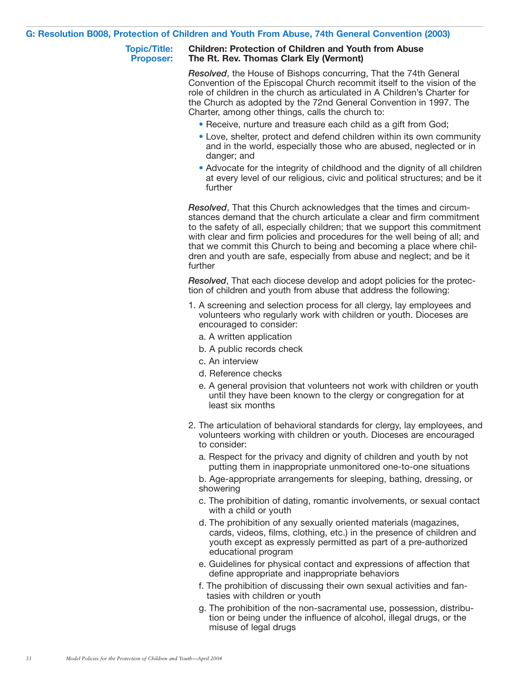#### **G: Resolution B008, Protection of Children and Youth From Abuse, 74th General Convention (2003)**

#### **Topic/Title: Children: Protection of Children and Youth from Abuse Proposer: The Rt. Rev. Thomas Clark Ely (Vermont)**

*Resolved*, the House of Bishops concurring, That the 74th General Convention of the Episcopal Church recommit itself to the vision of the role of children in the church as articulated in A Children's Charter for the Church as adopted by the 72nd General Convention in 1997. The Charter, among other things, calls the church to:

- Receive, nurture and treasure each child as a gift from God;
- Love, shelter, protect and defend children within its own community and in the world, especially those who are abused, neglected or in danger; and
- Advocate for the integrity of childhood and the dignity of all children at every level of our religious, civic and political structures; and be it further

*Resolved*, That this Church acknowledges that the times and circumstances demand that the church articulate a clear and firm commitment to the safety of all, especially children; that we support this commitment with clear and firm policies and procedures for the well being of all; and that we commit this Church to being and becoming a place where children and youth are safe, especially from abuse and neglect; and be it further

*Resolved*, That each diocese develop and adopt policies for the protection of children and youth from abuse that address the following:

- 1. A screening and selection process for all clergy, lay employees and volunteers who regularly work with children or youth. Dioceses are encouraged to consider:
	- a. A written application
	- b. A public records check
	- c. An interview
	- d. Reference checks
	- e. A general provision that volunteers not work with children or youth until they have been known to the clergy or congregation for at least six months
- 2. The articulation of behavioral standards for clergy, lay employees, and volunteers working with children or youth. Dioceses are encouraged to consider:
	- a. Respect for the privacy and dignity of children and youth by not putting them in inappropriate unmonitored one-to-one situations
	- b. Age-appropriate arrangements for sleeping, bathing, dressing, or showering
	- c. The prohibition of dating, romantic involvements, or sexual contact with a child or youth
	- d. The prohibition of any sexually oriented materials (magazines, cards, videos, films, clothing, etc.) in the presence of children and youth except as expressly permitted as part of a pre-authorized educational program
	- e. Guidelines for physical contact and expressions of affection that define appropriate and inappropriate behaviors
	- f. The prohibition of discussing their own sexual activities and fantasies with children or youth
	- g. The prohibition of the non-sacramental use, possession, distribution or being under the influence of alcohol, illegal drugs, or the misuse of legal drugs